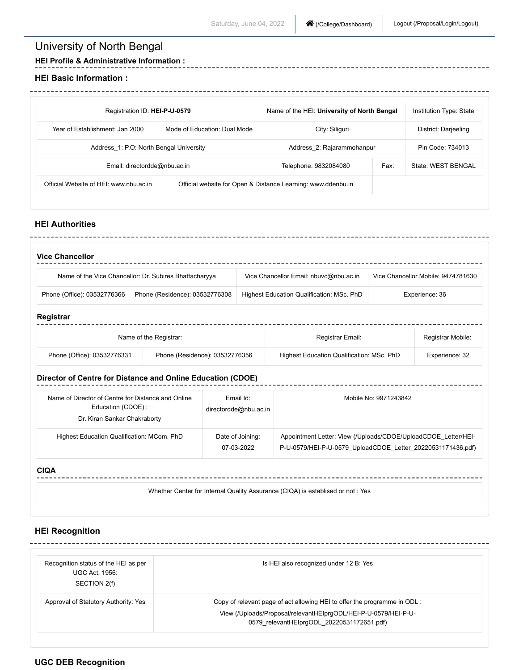# University of North Bengal

---------------------------

**HEI Profile & Administrative Information :**

#### **HEI Basic Information :**

| Registration ID: HEI-P-U-0579                                   |                                                              | Name of the HEI: University of North Bengal |      | Institution Type: State |
|-----------------------------------------------------------------|--------------------------------------------------------------|---------------------------------------------|------|-------------------------|
| Year of Establishment: Jan 2000<br>Mode of Education: Dual Mode |                                                              | City: Siliguri                              |      | District: Darjeeling    |
| Address 1: P.O: North Bengal University                         |                                                              | Address 2: Rajarammohanpur                  |      | Pin Code: 734013        |
| Email: directordde@nbu.ac.in                                    |                                                              | Telephone: 9832084080                       | Fax: | State: WEST BENGAL      |
| Official Website of HEI: www.nbu.ac.in                          | Official website for Open & Distance Learning: www.ddenbu.in |                                             |      |                         |

## **HEI Authorities**

| <b>Vice Chancellor</b>      |                                                        |                                           |                                    |
|-----------------------------|--------------------------------------------------------|-------------------------------------------|------------------------------------|
|                             | Name of the Vice Chancellor: Dr. Subires Bhattacharyya | Vice Chancellor Email: nbuvc@nbu.ac.in    | Vice Chancellor Mobile: 9474781630 |
| Phone (Office): 03532776366 | Phone (Residence): 03532776308                         | Highest Education Qualification: MSc. PhD | Experience: 36                     |

## **Registrar**

|                             | Name of the Registrar:         | Registrar Email:                          | Registrar Mobile: |
|-----------------------------|--------------------------------|-------------------------------------------|-------------------|
| Phone (Office): 03532776331 | Phone (Residence): 03532776356 | Highest Education Qualification: MSc. PhD | Experience: 32    |

### **Director of Centre for Distance and Online Education (CDOE)**

| Name of Director of Centre for Distance and Online<br>Education (CDOE):<br>Dr. Kiran Sankar Chakraborty | Email Id:<br>directordde@nbu.ac.in | Mobile No: 9971243842                                                                                                         |
|---------------------------------------------------------------------------------------------------------|------------------------------------|-------------------------------------------------------------------------------------------------------------------------------|
| Highest Education Qualification: MCom. PhD                                                              | Date of Joining:<br>07-03-2022     | Appointment Letter: View (/Uploads/CDOE/UploadCDOE Letter/HEI-<br>P-U-0579/HEI-P-U-0579 UploadCDOE Letter 20220531171436.pdf) |

## **CIQA**

| Whether Center for Internal Quality Assurance (CIQA) is establised or not : Yes |  |
|---------------------------------------------------------------------------------|--|
|                                                                                 |  |

## **HEI Recognition**

| Recognition status of the HEI as per<br><b>UGC Act, 1956:</b><br>SECTION 2(f) | Is HEI also recognized under 12 B: Yes                                                                        |
|-------------------------------------------------------------------------------|---------------------------------------------------------------------------------------------------------------|
| Approval of Statutory Authority: Yes                                          | Copy of relevant page of act allowing HEI to offer the programme in ODL :                                     |
|                                                                               | View (/Uploads/Proposal/relevantHElprgODL/HEI-P-U-0579/HEI-P-U-<br>0579 relevantHElprgODL 20220531172651.pdf) |

## **UGC DEB Recognition**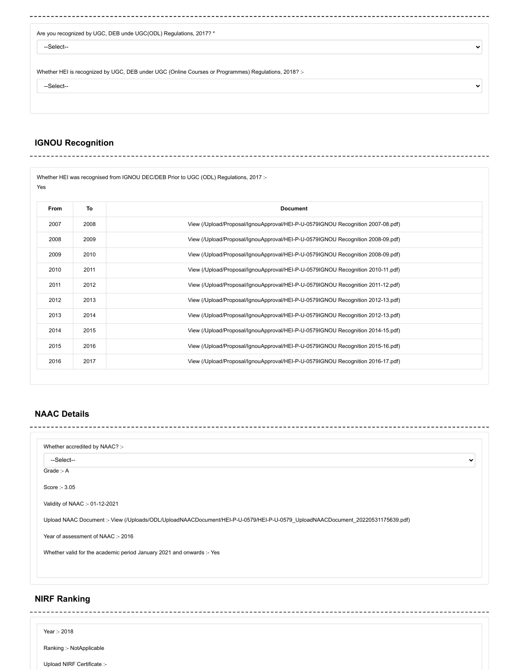|  |  | Are you recognized by UGC, DEB unde UGC(ODL) Regulations, 2017? * |  |
|--|--|-------------------------------------------------------------------|--|

--Select--

Whether HEI is recognized by UGC, DEB under UGC (Online Courses or Programmes) Regulations, 2018? :-

--Select--

 $\sim$  .

#### **IGNOU Recognition** ---------------

Whether HEI was recognised from IGNOU DEC/DEB Prior to UGC (ODL) Regulations, 2017 :-Yes

| From | To   | <b>Document</b>                                                                 |
|------|------|---------------------------------------------------------------------------------|
| 2007 | 2008 | View (/Upload/Proposal/IgnouApproval/HEI-P-U-0579IGNOU Recognition 2007-08.pdf) |
| 2008 | 2009 | View (/Upload/Proposal/IqnouApproval/HEI-P-U-0579IGNOU Recognition 2008-09.pdf) |
| 2009 | 2010 | View (/Upload/Proposal/IgnouApproval/HEI-P-U-0579IGNOU Recognition 2008-09.pdf) |
| 2010 | 2011 | View (/Upload/Proposal/IgnouApproval/HEI-P-U-0579IGNOU Recognition 2010-11.pdf) |
| 2011 | 2012 | View (/Upload/Proposal/IqnouApproval/HEI-P-U-0579IGNOU Recognition 2011-12.pdf) |
| 2012 | 2013 | View (/Upload/Proposal/IgnouApproval/HEI-P-U-0579IGNOU Recognition 2012-13.pdf) |
| 2013 | 2014 | View (/Upload/Proposal/IgnouApproval/HEI-P-U-0579IGNOU Recognition 2012-13.pdf) |
| 2014 | 2015 | View (/Upload/Proposal/IgnouApproval/HEI-P-U-0579IGNOU Recognition 2014-15.pdf) |
| 2015 | 2016 | View (/Upload/Proposal/IgnouApproval/HEI-P-U-0579IGNOU Recognition 2015-16.pdf) |
| 2016 | 2017 | View (/Upload/Proposal/IgnouApproval/HEI-P-U-0579IGNOU Recognition 2016-17.pdf) |

 $\ddot{\phantom{0}}$ 

 $\checkmark$ 

### **NAAC Details** --------

| Whether accredited by NAAC? :-                                        |                                                                                                                               |              |
|-----------------------------------------------------------------------|-------------------------------------------------------------------------------------------------------------------------------|--------------|
| --Select--                                                            |                                                                                                                               | $\checkmark$ |
| Grade: - A                                                            |                                                                                                                               |              |
| Score: - 3.05                                                         |                                                                                                                               |              |
| Validity of NAAC :- 01-12-2021                                        |                                                                                                                               |              |
|                                                                       | Upload NAAC Document:- View (/Uploads/ODL/UploadNAACDocument/HEI-P-U-0579/HEI-P-U-0579 UploadNAACDocument 20220531175639.pdf) |              |
| Year of assessment of NAAC :- 2016                                    |                                                                                                                               |              |
| Whether valid for the academic period January 2021 and onwards :- Yes |                                                                                                                               |              |
|                                                                       |                                                                                                                               |              |
|                                                                       |                                                                                                                               |              |

### **NIRF Ranking**

Year :- 2018

Ranking :- NotApplicable

Upload NIRF Certificate :-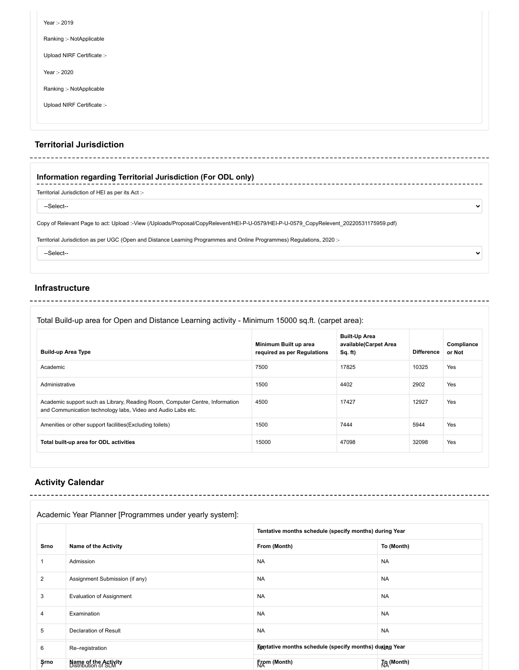| Year :- 2019               |  |
|----------------------------|--|
| Ranking :- NotApplicable   |  |
| Upload NIRF Certificate :- |  |
| Year :- 2020               |  |
| Ranking :- NotApplicable   |  |
| Upload NIRF Certificate :- |  |
|                            |  |

-----------------------

 $\checkmark$ 

 $\ddot{\phantom{0}}$ 

#### **Territorial Jurisdiction** ---------------

## **Information regarding Territorial Jurisdiction (For ODL only)**

Territorial Jurisdiction of HEI as per its Act :-

----------------------------------

--Select--

Copy of Relevant Page to act: Upload :[-View \(/Uploads/Proposal/CopyRelevent/HEI-P-U-0579/HEI-P-U-0579\\_CopyRelevent\\_20220531175959.pdf\)](https://deb.ugc.ac.in/Uploads/Proposal/CopyRelevent/HEI-P-U-0579/HEI-P-U-0579_CopyRelevent_20220531175959.pdf)

Territorial Jurisdiction as per UGC (Open and Distance Learning Programmes and Online Programmes) Regulations, 2020 :-

---------------

--Select--

### **Infrastructure**

Total Build-up area for Open and Distance Learning activity - Minimum 15000 sq.ft. (carpet area):

| <b>Build-up Area Type</b>                                                                                                                    | Minimum Built up area<br>required as per Regulations | <b>Built-Up Area</b><br>available(Carpet Area<br>Sq. ft) | <b>Difference</b> | Compliance<br>or Not |
|----------------------------------------------------------------------------------------------------------------------------------------------|------------------------------------------------------|----------------------------------------------------------|-------------------|----------------------|
| Academic                                                                                                                                     | 7500                                                 | 17825                                                    | 10325             | Yes                  |
| Administrative                                                                                                                               | 1500                                                 | 4402                                                     | 2902              | Yes                  |
| Academic support such as Library, Reading Room, Computer Centre, Information<br>and Communication technology labs, Video and Audio Labs etc. | 4500                                                 | 17427                                                    | 12927             | Yes                  |
| Amenities or other support facilities (Excluding toilets)                                                                                    | 1500                                                 | 7444                                                     | 5944              | Yes                  |
| Total built-up area for ODL activities                                                                                                       | 15000                                                | 47098                                                    | 32098             | Yes                  |

--------------

## **Activity Calendar**

### Academic Year Planner [Programmes under yearly system]:

|                |                                             | Tentative months schedule (specify months) during Year |            |
|----------------|---------------------------------------------|--------------------------------------------------------|------------|
| Srno           | <b>Name of the Activity</b>                 | From (Month)                                           | To (Month) |
|                | Admission                                   | <b>NA</b>                                              | <b>NA</b>  |
| $\overline{c}$ | Assignment Submission (if any)              | <b>NA</b>                                              | <b>NA</b>  |
| 3              | <b>Evaluation of Assignment</b>             | <b>NA</b>                                              | <b>NA</b>  |
| 4              | Examination                                 | <b>NA</b>                                              | <b>NA</b>  |
| 5              | Declaration of Result                       | <b>NA</b>                                              | <b>NA</b>  |
| 6              | Re-registration                             | Tentative months schedule (specify months) during Year |            |
| Şrno           | Name of the Activity<br>Distribution of SLM | From (Month)                                           | To (Month) |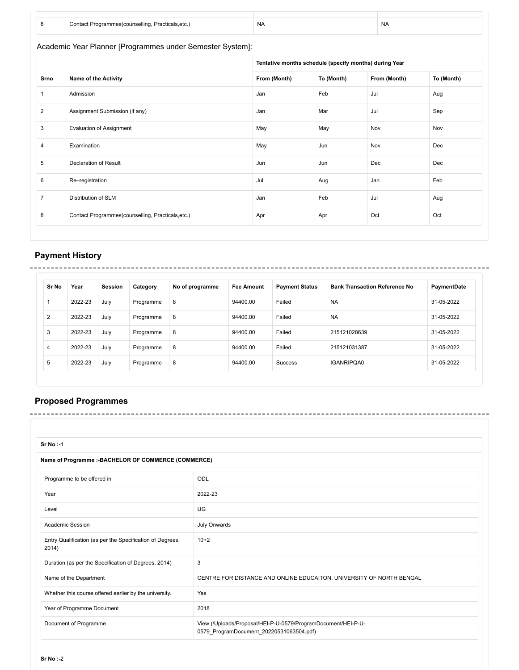|  | ∵nsellina. ∟<br>Propriegle<br>eals.etc.<br>nnt | <b>NA</b> | NA |
|--|------------------------------------------------|-----------|----|

Academic Year Planner [Programmes under Semester System]:

|                |                                                   | Tentative months schedule (specify months) during Year |            |              |            |
|----------------|---------------------------------------------------|--------------------------------------------------------|------------|--------------|------------|
| Srno           | <b>Name of the Activity</b>                       | From (Month)                                           | To (Month) | From (Month) | To (Month) |
| $\mathbf{1}$   | Admission                                         | Jan                                                    | Feb        | Jul          | Aug        |
| $\overline{2}$ | Assignment Submission (if any)                    | Jan                                                    | Mar        | Jul          | Sep        |
| 3              | <b>Evaluation of Assignment</b>                   | May                                                    | May        | Nov          | Nov        |
| 4              | Examination                                       | May                                                    | Jun        | Nov          | Dec        |
| 5              | Declaration of Result                             | Jun                                                    | Jun        | Dec          | Dec        |
| 6              | Re-registration                                   | Jul                                                    | Aug        | Jan          | Feb        |
| $\overline{7}$ | Distribution of SLM                               | Jan                                                    | Feb        | Jul          | Aug        |
| 8              | Contact Programmes(counselling, Practicals, etc.) | Apr                                                    | Apr        | Oct          | Oct        |

### **Payment History** -------

| Sr No | Year    | Session | Category  | No of programme | <b>Fee Amount</b> | <b>Payment Status</b> | <b>Bank Transaction Reference No</b> | PaymentDate |
|-------|---------|---------|-----------|-----------------|-------------------|-----------------------|--------------------------------------|-------------|
|       | 2022-23 | July    | Programme | 8               | 94400.00          | Failed                | <b>NA</b>                            | 31-05-2022  |
| 2     | 2022-23 | July    | Programme | 8               | 94400.00          | Failed                | <b>NA</b>                            | 31-05-2022  |
| 3     | 2022-23 | July    | Programme | 8               | 94400.00          | Failed                | 215121028639                         | 31-05-2022  |
| 4     | 2022-23 | July    | Programme | 8               | 94400.00          | Failed                | 215121031387                         | 31-05-2022  |
| 5     | 2022-23 | July    | Programme | 8               | 94400.00          | Success               | <b>IGANRIPOA0</b>                    | 31-05-2022  |

\_\_\_\_\_\_\_\_\_\_\_\_\_\_\_\_\_\_\_\_\_\_\_\_\_\_\_\_\_\_\_\_\_\_\_

# **Proposed Programmes**

| Sr No:-1                                                           |                                                                                                           |
|--------------------------------------------------------------------|-----------------------------------------------------------------------------------------------------------|
| Name of Programme :- BACHELOR OF COMMERCE (COMMERCE)               |                                                                                                           |
| ODL<br>Programme to be offered in                                  |                                                                                                           |
| Year                                                               | 2022-23                                                                                                   |
| Level                                                              | UG                                                                                                        |
| Academic Session                                                   | July Onwards                                                                                              |
| Entry Qualification (as per the Specification of Degrees,<br>2014) | $10+2$                                                                                                    |
| Duration (as per the Specification of Degrees, 2014)               | 3                                                                                                         |
| Name of the Department                                             | CENTRE FOR DISTANCE AND ONLINE EDUCAITON, UNIVERSITY OF NORTH BENGAL                                      |
| Whether this course offered earlier by the university.             | Yes                                                                                                       |
| Year of Programme Document                                         | 2018                                                                                                      |
| Document of Programme                                              | View (/Uploads/Proposal/HEI-P-U-0579/ProgramDocument/HEI-P-U-<br>0579_ProgramDocument_20220531063504.pdf) |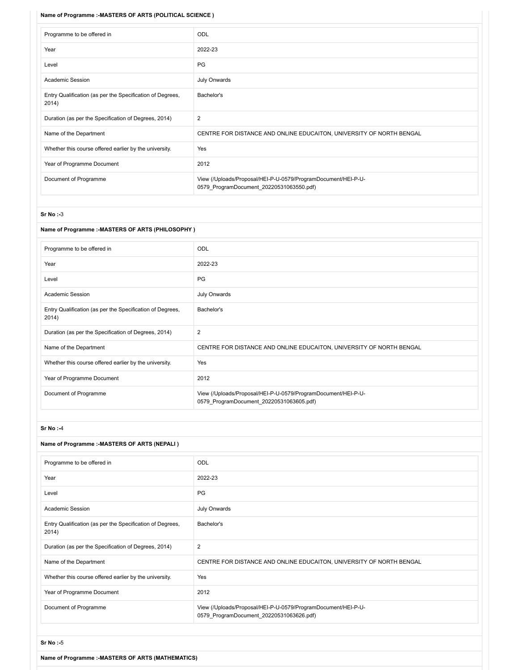#### **Name of Programme :-MASTERS OF ARTS (POLITICAL SCIENCE )**

| Programme to be offered in                                         | ODL                                                                                                       |  |
|--------------------------------------------------------------------|-----------------------------------------------------------------------------------------------------------|--|
| Year                                                               | 2022-23                                                                                                   |  |
| Level                                                              | PG                                                                                                        |  |
| Academic Session                                                   | July Onwards                                                                                              |  |
| Entry Qualification (as per the Specification of Degrees,<br>2014) | Bachelor's                                                                                                |  |
| Duration (as per the Specification of Degrees, 2014)               | 2                                                                                                         |  |
| Name of the Department                                             | CENTRE FOR DISTANCE AND ONLINE EDUCAITON, UNIVERSITY OF NORTH BENGAL                                      |  |
| Whether this course offered earlier by the university.             | Yes                                                                                                       |  |
| Year of Programme Document                                         | 2012                                                                                                      |  |
| Document of Programme                                              | View (/Uploads/Proposal/HEI-P-U-0579/ProgramDocument/HEI-P-U-<br>0579 ProgramDocument 20220531063550.pdf) |  |

#### **Sr No :-**3

| Name of Programme :- MASTERS OF ARTS (PHILOSOPHY)                  |                                                                                                           |  |
|--------------------------------------------------------------------|-----------------------------------------------------------------------------------------------------------|--|
| Programme to be offered in                                         | <b>ODL</b>                                                                                                |  |
| Year                                                               | 2022-23                                                                                                   |  |
| Level                                                              | PG                                                                                                        |  |
| Academic Session                                                   | July Onwards                                                                                              |  |
| Entry Qualification (as per the Specification of Degrees,<br>2014) | Bachelor's                                                                                                |  |
| Duration (as per the Specification of Degrees, 2014)               | 2                                                                                                         |  |
| Name of the Department                                             | CENTRE FOR DISTANCE AND ONLINE EDUCAITON, UNIVERSITY OF NORTH BENGAL                                      |  |
| Whether this course offered earlier by the university.             | Yes                                                                                                       |  |
| Year of Programme Document                                         | 2012                                                                                                      |  |
| Document of Programme                                              | View (/Uploads/Proposal/HEI-P-U-0579/ProgramDocument/HEI-P-U-<br>0579 ProgramDocument 20220531063605.pdf) |  |

#### **Sr No :-**4

### **Name of Programme :-MASTERS OF ARTS (NEPALI )**

| Programme to be offered in                                         | <b>ODL</b>                                                                                                |
|--------------------------------------------------------------------|-----------------------------------------------------------------------------------------------------------|
| Year                                                               | 2022-23                                                                                                   |
| Level                                                              | PG                                                                                                        |
| Academic Session                                                   | July Onwards                                                                                              |
| Entry Qualification (as per the Specification of Degrees,<br>2014) | Bachelor's                                                                                                |
| Duration (as per the Specification of Degrees, 2014)               | 2                                                                                                         |
| Name of the Department                                             | CENTRE FOR DISTANCE AND ONLINE EDUCAITON, UNIVERSITY OF NORTH BENGAL                                      |
| Whether this course offered earlier by the university.             | Yes                                                                                                       |
| Year of Programme Document                                         | 2012                                                                                                      |
| Document of Programme                                              | View (/Uploads/Proposal/HEI-P-U-0579/ProgramDocument/HEI-P-U-<br>0579 ProgramDocument 20220531063626.pdf) |

**Sr No :-**5

**Name of Programme :-MASTERS OF ARTS (MATHEMATICS)**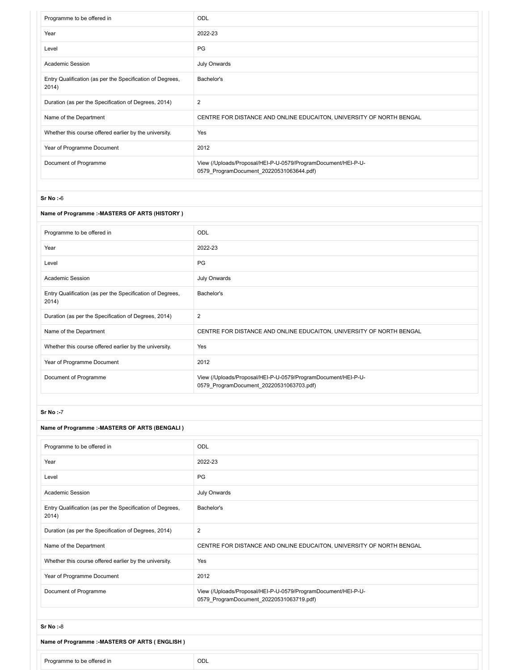| Programme to be offered in                                         | ODL                                                                                                       |
|--------------------------------------------------------------------|-----------------------------------------------------------------------------------------------------------|
| Year                                                               | 2022-23                                                                                                   |
| Level                                                              | PG                                                                                                        |
| <b>Academic Session</b>                                            | July Onwards                                                                                              |
| Entry Qualification (as per the Specification of Degrees,<br>2014) | Bachelor's                                                                                                |
| Duration (as per the Specification of Degrees, 2014)               | $\overline{\mathbf{c}}$                                                                                   |
| Name of the Department                                             | CENTRE FOR DISTANCE AND ONLINE EDUCAITON, UNIVERSITY OF NORTH BENGAL                                      |
| Whether this course offered earlier by the university.             | Yes                                                                                                       |
| Year of Programme Document                                         | 2012                                                                                                      |
| Document of Programme                                              | View (/Uploads/Proposal/HEI-P-U-0579/ProgramDocument/HEI-P-U-<br>0579 ProgramDocument 20220531063644.pdf) |

#### **Sr No :-**6

## **Name of Programme :-MASTERS OF ARTS (HISTORY )**

| Programme to be offered in                                         | <b>ODL</b>                                                                                                |  |
|--------------------------------------------------------------------|-----------------------------------------------------------------------------------------------------------|--|
| Year                                                               | 2022-23                                                                                                   |  |
| Level                                                              | PG                                                                                                        |  |
| Academic Session                                                   | July Onwards                                                                                              |  |
| Entry Qualification (as per the Specification of Degrees,<br>2014) | Bachelor's                                                                                                |  |
| Duration (as per the Specification of Degrees, 2014)               | $\overline{2}$                                                                                            |  |
| Name of the Department                                             | CENTRE FOR DISTANCE AND ONLINE EDUCAITON, UNIVERSITY OF NORTH BENGAL                                      |  |
| Whether this course offered earlier by the university.             | Yes                                                                                                       |  |
| Year of Programme Document                                         | 2012                                                                                                      |  |
| Document of Programme                                              | View (/Uploads/Proposal/HEI-P-U-0579/ProgramDocument/HEI-P-U-<br>0579 ProgramDocument 20220531063703.pdf) |  |

#### **Sr No :-**7

### **Name of Programme :-MASTERS OF ARTS (BENGALI )**

| Programme to be offered in                                         | <b>ODL</b>                                                                                                |  |
|--------------------------------------------------------------------|-----------------------------------------------------------------------------------------------------------|--|
| Year                                                               | 2022-23                                                                                                   |  |
| Level                                                              | PG                                                                                                        |  |
| Academic Session                                                   | July Onwards                                                                                              |  |
| Entry Qualification (as per the Specification of Degrees,<br>2014) | Bachelor's                                                                                                |  |
| Duration (as per the Specification of Degrees, 2014)               | 2                                                                                                         |  |
| Name of the Department                                             | CENTRE FOR DISTANCE AND ONLINE EDUCAITON, UNIVERSITY OF NORTH BENGAL                                      |  |
| Whether this course offered earlier by the university.             | Yes                                                                                                       |  |
| Year of Programme Document                                         | 2012                                                                                                      |  |
| Document of Programme                                              | View (/Uploads/Proposal/HEI-P-U-0579/ProgramDocument/HEI-P-U-<br>0579 ProgramDocument 20220531063719.pdf) |  |

#### **Sr No :-**8

## **Name of Programme :-MASTERS OF ARTS ( ENGLISH )**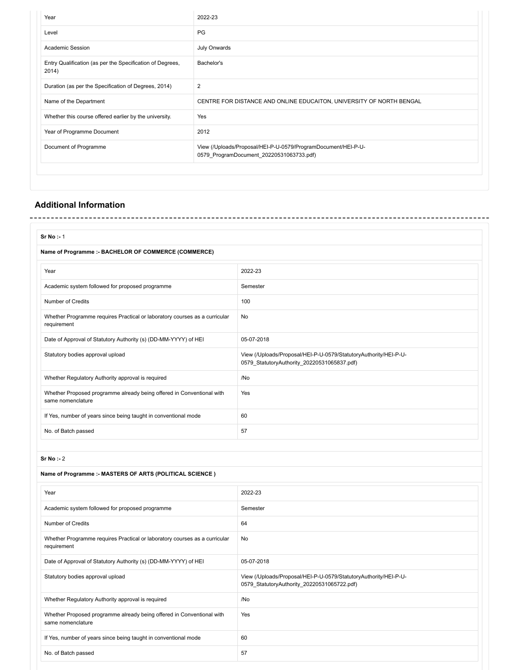| 2022-23                                                                                                   |
|-----------------------------------------------------------------------------------------------------------|
| <b>PG</b>                                                                                                 |
| July Onwards                                                                                              |
| Bachelor's                                                                                                |
| $\overline{\mathbf{c}}$                                                                                   |
| CENTRE FOR DISTANCE AND ONLINE EDUCAITON, UNIVERSITY OF NORTH BENGAL                                      |
| Yes                                                                                                       |
| 2012                                                                                                      |
| View (/Uploads/Proposal/HEI-P-U-0579/ProgramDocument/HEI-P-U-<br>0579 ProgramDocument 20220531063733.pdf) |
|                                                                                                           |
|                                                                                                           |

## **Additional Information**

| Sr No : 1                                                                                  |                                                                                                                 |  |  |  |
|--------------------------------------------------------------------------------------------|-----------------------------------------------------------------------------------------------------------------|--|--|--|
| Name of Programme :- BACHELOR OF COMMERCE (COMMERCE)                                       |                                                                                                                 |  |  |  |
| Year                                                                                       | 2022-23                                                                                                         |  |  |  |
| Academic system followed for proposed programme                                            | Semester                                                                                                        |  |  |  |
| Number of Credits                                                                          | 100                                                                                                             |  |  |  |
| Whether Programme requires Practical or laboratory courses as a curricular<br>requirement  | No                                                                                                              |  |  |  |
| Date of Approval of Statutory Authority (s) (DD-MM-YYYY) of HEI                            | 05-07-2018                                                                                                      |  |  |  |
| Statutory bodies approval upload                                                           | View (/Uploads/Proposal/HEI-P-U-0579/StatutoryAuthority/HEI-P-U-<br>0579_StatutoryAuthority_20220531065837.pdf) |  |  |  |
| Whether Regulatory Authority approval is required                                          | /No                                                                                                             |  |  |  |
| Whether Proposed programme already being offered in Conventional with<br>same nomenclature | Yes                                                                                                             |  |  |  |
| If Yes, number of years since being taught in conventional mode                            | 60                                                                                                              |  |  |  |
| No. of Batch passed                                                                        | 57                                                                                                              |  |  |  |
|                                                                                            |                                                                                                                 |  |  |  |

**Sr No :-** 2

#### **Name of Programme :- MASTERS OF ARTS (POLITICAL SCIENCE )**

| Year                                                                                       | 2022-23                                                                                                         |
|--------------------------------------------------------------------------------------------|-----------------------------------------------------------------------------------------------------------------|
| Academic system followed for proposed programme                                            | Semester                                                                                                        |
| Number of Credits                                                                          | 64                                                                                                              |
| Whether Programme requires Practical or laboratory courses as a curricular<br>requirement  | No                                                                                                              |
| Date of Approval of Statutory Authority (s) (DD-MM-YYYY) of HEI                            | 05-07-2018                                                                                                      |
| Statutory bodies approval upload                                                           | View (/Uploads/Proposal/HEI-P-U-0579/StatutoryAuthority/HEI-P-U-<br>0579 StatutoryAuthority 20220531065722.pdf) |
| Whether Regulatory Authority approval is required                                          | /No                                                                                                             |
| Whether Proposed programme already being offered in Conventional with<br>same nomenclature | Yes                                                                                                             |
| If Yes, number of years since being taught in conventional mode                            | 60                                                                                                              |
| No. of Batch passed                                                                        | 57                                                                                                              |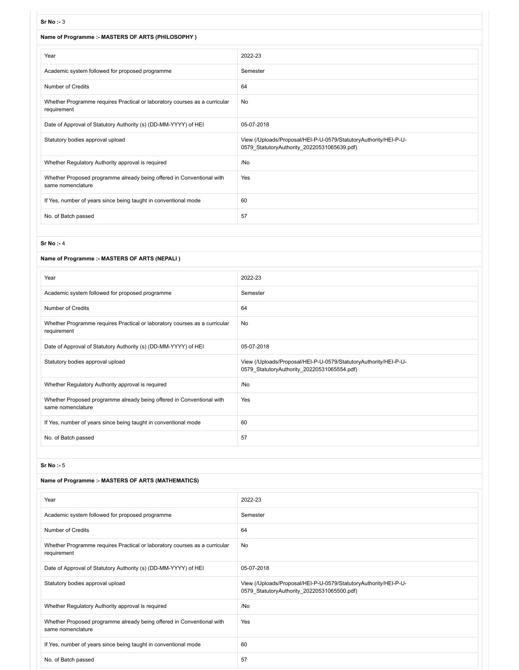#### **Sr No :-** 3

| งเพง .- ง                                                                                  |                                                                                                                 |
|--------------------------------------------------------------------------------------------|-----------------------------------------------------------------------------------------------------------------|
| Name of Programme :- MASTERS OF ARTS (PHILOSOPHY)                                          |                                                                                                                 |
| Year                                                                                       | 2022-23                                                                                                         |
| Academic system followed for proposed programme                                            | Semester                                                                                                        |
| <b>Number of Credits</b>                                                                   | 64                                                                                                              |
| Whether Programme requires Practical or laboratory courses as a curricular<br>requirement  | No                                                                                                              |
| Date of Approval of Statutory Authority (s) (DD-MM-YYYY) of HEI                            | 05-07-2018                                                                                                      |
| Statutory bodies approval upload                                                           | View (/Uploads/Proposal/HEI-P-U-0579/StatutoryAuthority/HEI-P-U-<br>0579 StatutoryAuthority 20220531065639.pdf) |
| Whether Regulatory Authority approval is required                                          | /No                                                                                                             |
| Whether Proposed programme already being offered in Conventional with<br>same nomenclature | Yes                                                                                                             |
| If Yes, number of years since being taught in conventional mode                            | 60                                                                                                              |
| No. of Batch passed                                                                        | 57                                                                                                              |

#### **Sr No :-** 4

#### **Name of Programme :- MASTERS OF ARTS (NEPALI )**

| Year                                                                                       | 2022-23                                                                                                         |
|--------------------------------------------------------------------------------------------|-----------------------------------------------------------------------------------------------------------------|
| Academic system followed for proposed programme                                            | Semester                                                                                                        |
| Number of Credits                                                                          | 64                                                                                                              |
| Whether Programme requires Practical or laboratory courses as a curricular<br>requirement  | No                                                                                                              |
| Date of Approval of Statutory Authority (s) (DD-MM-YYYY) of HEI                            | 05-07-2018                                                                                                      |
| Statutory bodies approval upload                                                           | View (/Uploads/Proposal/HEI-P-U-0579/StatutoryAuthority/HEI-P-U-<br>0579 StatutoryAuthority 20220531065554.pdf) |
| Whether Regulatory Authority approval is required                                          | /No                                                                                                             |
| Whether Proposed programme already being offered in Conventional with<br>same nomenclature | Yes                                                                                                             |
| If Yes, number of years since being taught in conventional mode                            | 60                                                                                                              |
| No. of Batch passed                                                                        | 57                                                                                                              |
|                                                                                            |                                                                                                                 |

## **Sr No :-** 5

#### **Name of Programme :- MASTERS OF ARTS (MATHEMATICS)**

| Year                                                                                       | 2022-23                                                                                                         |
|--------------------------------------------------------------------------------------------|-----------------------------------------------------------------------------------------------------------------|
| Academic system followed for proposed programme                                            | Semester                                                                                                        |
| Number of Credits                                                                          | 64                                                                                                              |
| Whether Programme requires Practical or laboratory courses as a curricular<br>requirement  | No                                                                                                              |
| Date of Approval of Statutory Authority (s) (DD-MM-YYYY) of HEI                            | 05-07-2018                                                                                                      |
| Statutory bodies approval upload                                                           | View (/Uploads/Proposal/HEI-P-U-0579/StatutoryAuthority/HEI-P-U-<br>0579 StatutoryAuthority 20220531065500.pdf) |
| Whether Regulatory Authority approval is required                                          | /No                                                                                                             |
| Whether Proposed programme already being offered in Conventional with<br>same nomenclature | Yes                                                                                                             |
| If Yes, number of years since being taught in conventional mode                            | 60                                                                                                              |
| No. of Batch passed                                                                        | 57                                                                                                              |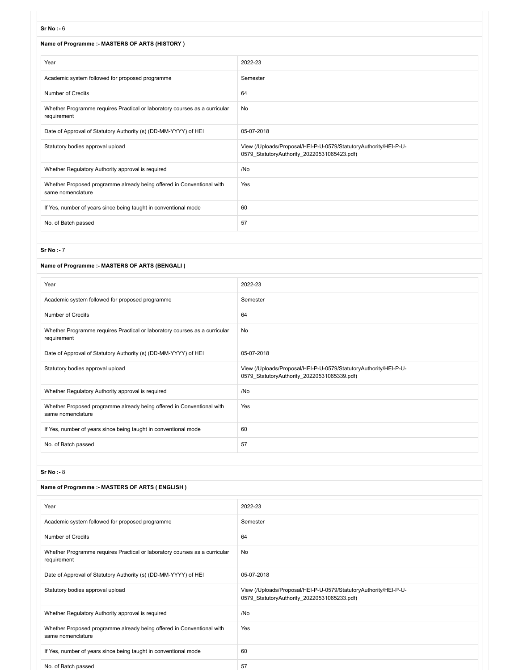#### **Sr No :-** 6

#### **Name of Programme :- MASTERS OF ARTS (HISTORY )**

| Year                                                                                       | 2022-23                                                                                                         |
|--------------------------------------------------------------------------------------------|-----------------------------------------------------------------------------------------------------------------|
| Academic system followed for proposed programme                                            | Semester                                                                                                        |
| Number of Credits                                                                          | 64                                                                                                              |
| Whether Programme requires Practical or laboratory courses as a curricular<br>requirement  | No                                                                                                              |
| Date of Approval of Statutory Authority (s) (DD-MM-YYYY) of HEI                            | 05-07-2018                                                                                                      |
| Statutory bodies approval upload                                                           | View (/Uploads/Proposal/HEI-P-U-0579/StatutoryAuthority/HEI-P-U-<br>0579 StatutoryAuthority 20220531065423.pdf) |
| Whether Regulatory Authority approval is required                                          | /No                                                                                                             |
| Whether Proposed programme already being offered in Conventional with<br>same nomenclature | Yes                                                                                                             |
| If Yes, number of years since being taught in conventional mode                            | 60                                                                                                              |
| No. of Batch passed                                                                        | 57                                                                                                              |

#### **Sr No :-** 7

#### **Name of Programme :- MASTERS OF ARTS (BENGALI )**

| Year                                                                                       | 2022-23                                                                                                         |
|--------------------------------------------------------------------------------------------|-----------------------------------------------------------------------------------------------------------------|
| Academic system followed for proposed programme                                            | Semester                                                                                                        |
| <b>Number of Credits</b>                                                                   | 64                                                                                                              |
| Whether Programme requires Practical or laboratory courses as a curricular<br>requirement  | No                                                                                                              |
| Date of Approval of Statutory Authority (s) (DD-MM-YYYY) of HEI                            | 05-07-2018                                                                                                      |
| Statutory bodies approval upload                                                           | View (/Uploads/Proposal/HEI-P-U-0579/StatutoryAuthority/HEI-P-U-<br>0579 StatutoryAuthority 20220531065339.pdf) |
| Whether Regulatory Authority approval is required                                          | /No                                                                                                             |
| Whether Proposed programme already being offered in Conventional with<br>same nomenclature | Yes                                                                                                             |
| If Yes, number of years since being taught in conventional mode                            | 60                                                                                                              |
| No. of Batch passed                                                                        | 57                                                                                                              |

#### **Sr No :-** 8

#### **Name of Programme :- MASTERS OF ARTS ( ENGLISH )**

| Year                                                                                       | 2022-23                                                                                                         |
|--------------------------------------------------------------------------------------------|-----------------------------------------------------------------------------------------------------------------|
| Academic system followed for proposed programme                                            | Semester                                                                                                        |
| Number of Credits                                                                          | 64                                                                                                              |
| Whether Programme requires Practical or laboratory courses as a curricular<br>requirement  | No                                                                                                              |
| Date of Approval of Statutory Authority (s) (DD-MM-YYYY) of HEI                            | 05-07-2018                                                                                                      |
| Statutory bodies approval upload                                                           | View (/Uploads/Proposal/HEI-P-U-0579/StatutoryAuthority/HEI-P-U-<br>0579 StatutoryAuthority 20220531065233.pdf) |
| Whether Regulatory Authority approval is required                                          | /No                                                                                                             |
| Whether Proposed programme already being offered in Conventional with<br>same nomenclature | Yes                                                                                                             |
| If Yes, number of years since being taught in conventional mode                            | 60                                                                                                              |
| No. of Batch passed                                                                        | 57                                                                                                              |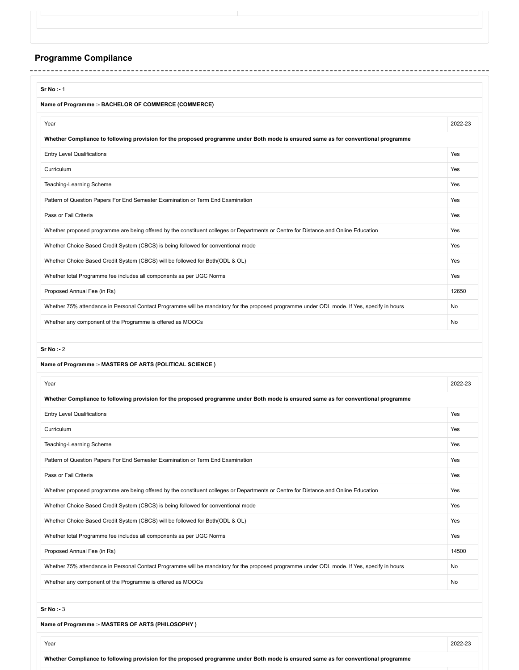## **Programme Compilance**

| Name of Programme :- BACHELOR OF COMMERCE (COMMERCE)                                                                                                                                                                                                                                                                          |               |
|-------------------------------------------------------------------------------------------------------------------------------------------------------------------------------------------------------------------------------------------------------------------------------------------------------------------------------|---------------|
| Year                                                                                                                                                                                                                                                                                                                          | 2022-23       |
| Whether Compliance to following provision for the proposed programme under Both mode is ensured same as for conventional programme                                                                                                                                                                                            |               |
| <b>Entry Level Qualifications</b>                                                                                                                                                                                                                                                                                             | Yes           |
| Curriculum                                                                                                                                                                                                                                                                                                                    | Yes           |
| Teaching-Learning Scheme                                                                                                                                                                                                                                                                                                      | Yes           |
| Pattern of Question Papers For End Semester Examination or Term End Examination                                                                                                                                                                                                                                               | Yes           |
| Pass or Fail Criteria                                                                                                                                                                                                                                                                                                         | Yes           |
| Whether proposed programme are being offered by the constituent colleges or Departments or Centre for Distance and Online Education                                                                                                                                                                                           | Yes           |
| Whether Choice Based Credit System (CBCS) is being followed for conventional mode                                                                                                                                                                                                                                             | Yes           |
| Whether Choice Based Credit System (CBCS) will be followed for Both (ODL & OL)                                                                                                                                                                                                                                                | Yes           |
| Whether total Programme fee includes all components as per UGC Norms                                                                                                                                                                                                                                                          | Yes           |
| Proposed Annual Fee (in Rs)                                                                                                                                                                                                                                                                                                   | 12650         |
| Whether 75% attendance in Personal Contact Programme will be mandatory for the proposed programme under ODL mode. If Yes, specify in hours                                                                                                                                                                                    | No            |
| Whether any component of the Programme is offered as MOOCs                                                                                                                                                                                                                                                                    | No            |
|                                                                                                                                                                                                                                                                                                                               |               |
| Sr No : 2<br>Name of Programme :- MASTERS OF ARTS (POLITICAL SCIENCE)                                                                                                                                                                                                                                                         |               |
| Year                                                                                                                                                                                                                                                                                                                          |               |
|                                                                                                                                                                                                                                                                                                                               |               |
|                                                                                                                                                                                                                                                                                                                               | Yes           |
|                                                                                                                                                                                                                                                                                                                               | Yes           |
|                                                                                                                                                                                                                                                                                                                               | Yes           |
|                                                                                                                                                                                                                                                                                                                               | Yes           |
| Whether Compliance to following provision for the proposed programme under Both mode is ensured same as for conventional programme<br><b>Entry Level Qualifications</b><br>Curriculum<br>Teaching-Learning Scheme<br>Pattern of Question Papers For End Semester Examination or Term End Examination<br>Pass or Fail Criteria | Yes           |
| Whether proposed programme are being offered by the constituent colleges or Departments or Centre for Distance and Online Education                                                                                                                                                                                           | Yes           |
| Whether Choice Based Credit System (CBCS) is being followed for conventional mode                                                                                                                                                                                                                                             | Yes           |
| Whether Choice Based Credit System (CBCS) will be followed for Both(ODL & OL)                                                                                                                                                                                                                                                 | Yes           |
| Whether total Programme fee includes all components as per UGC Norms                                                                                                                                                                                                                                                          | Yes           |
| Proposed Annual Fee (in Rs)                                                                                                                                                                                                                                                                                                   | 14500         |
| Whether 75% attendance in Personal Contact Programme will be mandatory for the proposed programme under ODL mode. If Yes, specify in hours                                                                                                                                                                                    | 2022-23<br>No |

**Name of Programme :- MASTERS OF ARTS (PHILOSOPHY )**

**Whether Compliance to following provision for the proposed programme under Both mode is ensured same as for conventional programme**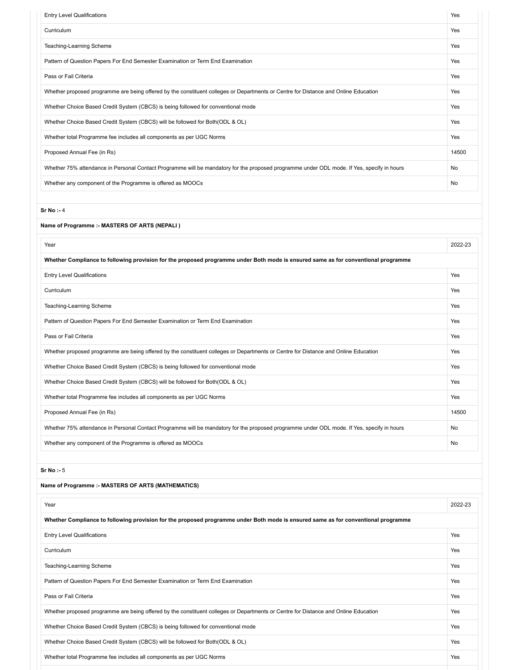| <b>Entry Level Qualifications</b>                                                                                                          | Yes   |
|--------------------------------------------------------------------------------------------------------------------------------------------|-------|
| Curriculum                                                                                                                                 | Yes   |
| Teaching-Learning Scheme                                                                                                                   | Yes   |
| Pattern of Question Papers For End Semester Examination or Term End Examination                                                            | Yes   |
| Pass or Fail Criteria                                                                                                                      | Yes   |
| Whether proposed programme are being offered by the constituent colleges or Departments or Centre for Distance and Online Education        | Yes   |
| Whether Choice Based Credit System (CBCS) is being followed for conventional mode                                                          | Yes   |
| Whether Choice Based Credit System (CBCS) will be followed for Both (ODL & OL)                                                             | Yes   |
| Whether total Programme fee includes all components as per UGC Norms                                                                       | Yes   |
| Proposed Annual Fee (in Rs)                                                                                                                | 14500 |
| Whether 75% attendance in Personal Contact Programme will be mandatory for the proposed programme under ODL mode. If Yes, specify in hours | No    |
| Whether any component of the Programme is offered as MOOCs                                                                                 | No    |

**Sr No :-** 4

**Name of Programme :- MASTERS OF ARTS (NEPALI )**

| Year                                                                                                                                       | 2022-23    |
|--------------------------------------------------------------------------------------------------------------------------------------------|------------|
| Whether Compliance to following provision for the proposed programme under Both mode is ensured same as for conventional programme         |            |
| <b>Entry Level Qualifications</b>                                                                                                          | <b>Yes</b> |
| Curriculum                                                                                                                                 | Yes        |
| Teaching-Learning Scheme                                                                                                                   | Yes        |
| Pattern of Question Papers For End Semester Examination or Term End Examination                                                            | Yes        |
| Pass or Fail Criteria                                                                                                                      | Yes        |
| Whether proposed programme are being offered by the constituent colleges or Departments or Centre for Distance and Online Education        | Yes        |
| Whether Choice Based Credit System (CBCS) is being followed for conventional mode                                                          | Yes        |
| Whether Choice Based Credit System (CBCS) will be followed for Both (ODL & OL)                                                             | Yes        |
| Whether total Programme fee includes all components as per UGC Norms                                                                       | Yes        |
| Proposed Annual Fee (in Rs)                                                                                                                | 14500      |
| Whether 75% attendance in Personal Contact Programme will be mandatory for the proposed programme under ODL mode. If Yes, specify in hours | <b>No</b>  |
| Whether any component of the Programme is offered as MOOCs                                                                                 | No         |

**Sr No :-** 5

| Name of Programme :- MASTERS OF ARTS (MATHEMATICS)                                                                                  |         |
|-------------------------------------------------------------------------------------------------------------------------------------|---------|
| Year                                                                                                                                | 2022-23 |
| Whether Compliance to following provision for the proposed programme under Both mode is ensured same as for conventional programme  |         |
| <b>Entry Level Qualifications</b>                                                                                                   | Yes     |
| Curriculum                                                                                                                          | Yes     |
| Teaching-Learning Scheme                                                                                                            | Yes     |
| Pattern of Question Papers For End Semester Examination or Term End Examination                                                     | Yes     |
| Pass or Fail Criteria                                                                                                               | Yes     |
| Whether proposed programme are being offered by the constituent colleges or Departments or Centre for Distance and Online Education | Yes     |
| Whether Choice Based Credit System (CBCS) is being followed for conventional mode                                                   | Yes     |
| Whether Choice Based Credit System (CBCS) will be followed for Both (ODL & OL)                                                      | Yes     |
| Whether total Programme fee includes all components as per UGC Norms                                                                | Yes     |
|                                                                                                                                     |         |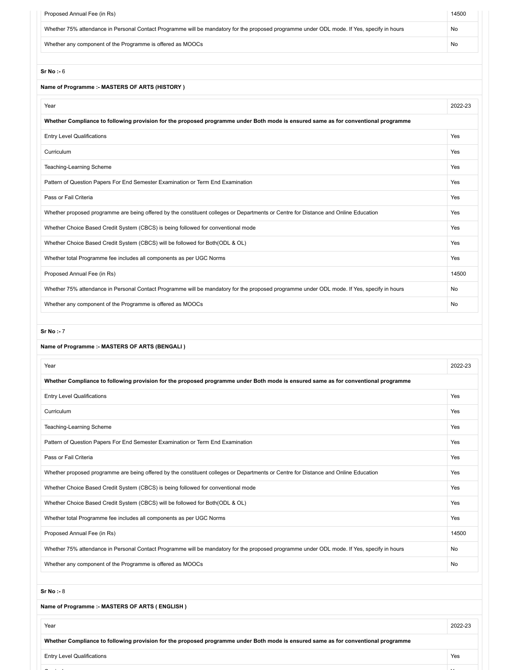| Proposed Annual Fee (in Rs)                                                                                                                | 14500   |
|--------------------------------------------------------------------------------------------------------------------------------------------|---------|
| Whether 75% attendance in Personal Contact Programme will be mandatory for the proposed programme under ODL mode. If Yes, specify in hours | No      |
| Whether any component of the Programme is offered as MOOCs                                                                                 | No      |
| Sr No : 6                                                                                                                                  |         |
| Name of Programme :- MASTERS OF ARTS (HISTORY)                                                                                             |         |
| Year                                                                                                                                       | 2022-23 |
| Whether Compliance to following provision for the proposed programme under Both mode is ensured same as for conventional programme         |         |
| <b>Entry Level Qualifications</b>                                                                                                          | Yes     |
| Curriculum                                                                                                                                 | Yes     |
| Teaching-Learning Scheme                                                                                                                   | Yes     |
| Pattern of Question Papers For End Semester Examination or Term End Examination                                                            | Yes     |
| Pass or Fail Criteria                                                                                                                      | Yes     |
| Whether proposed programme are being offered by the constituent colleges or Departments or Centre for Distance and Online Education        | Yes     |
| Whether Choice Based Credit System (CBCS) is being followed for conventional mode                                                          | Yes     |
| Whether Choice Based Credit System (CBCS) will be followed for Both(ODL & OL)                                                              | Yes     |
| Whether total Programme fee includes all components as per UGC Norms                                                                       | Yes     |
| Proposed Annual Fee (in Rs)                                                                                                                | 14500   |

Whether 75% attendance in Personal Contact Programme will be mandatory for the proposed programme under ODL mode. If Yes, specify in hours No Whether any component of the Programme is offered as MOOCs No will be a state of the Programme is offered as MOOCs No will be a state of the UNC of the UNC of the Programme is offered as MOOCs No will be a state of the UNC

**Sr No :-** 7

| Year                                                                                                                                       | 2022-23   |
|--------------------------------------------------------------------------------------------------------------------------------------------|-----------|
| Whether Compliance to following provision for the proposed programme under Both mode is ensured same as for conventional programme         |           |
| <b>Entry Level Qualifications</b>                                                                                                          | Yes       |
| Curriculum                                                                                                                                 | Yes       |
| Teaching-Learning Scheme                                                                                                                   | Yes       |
| Pattern of Question Papers For End Semester Examination or Term End Examination                                                            | Yes       |
| Pass or Fail Criteria                                                                                                                      | Yes       |
| Whether proposed programme are being offered by the constituent colleges or Departments or Centre for Distance and Online Education        | Yes       |
| Whether Choice Based Credit System (CBCS) is being followed for conventional mode                                                          | Yes       |
| Whether Choice Based Credit System (CBCS) will be followed for Both (ODL & OL)                                                             | Yes       |
| Whether total Programme fee includes all components as per UGC Norms                                                                       | Yes       |
| Proposed Annual Fee (in Rs)                                                                                                                | 14500     |
| Whether 75% attendance in Personal Contact Programme will be mandatory for the proposed programme under ODL mode. If Yes, specify in hours | No        |
| Whether any component of the Programme is offered as MOOCs                                                                                 | <b>No</b> |

**Sr No :-** 8

**Name of Programme :- MASTERS OF ARTS ( ENGLISH )**

|  | Year                                                                                                                               |     |  |  |  |
|--|------------------------------------------------------------------------------------------------------------------------------------|-----|--|--|--|
|  | Whether Compliance to following provision for the proposed programme under Both mode is ensured same as for conventional programme |     |  |  |  |
|  | <b>Entry Level Qualifications</b>                                                                                                  | Yes |  |  |  |
|  |                                                                                                                                    |     |  |  |  |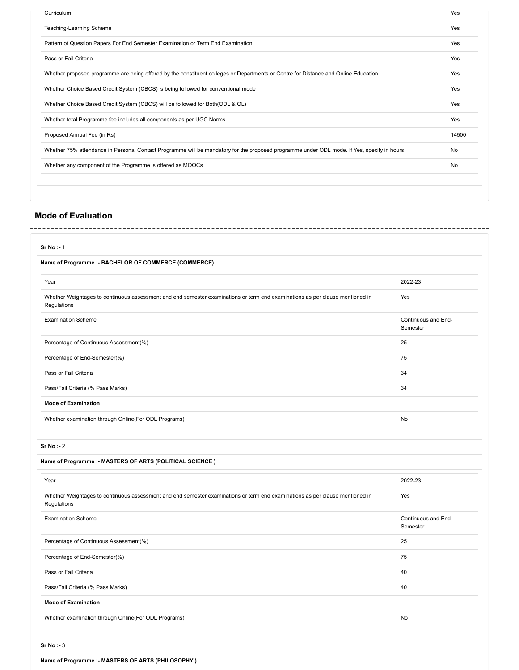| Curriculum                                                                                                                                 | Yes   |
|--------------------------------------------------------------------------------------------------------------------------------------------|-------|
| Teaching-Learning Scheme                                                                                                                   | Yes   |
| Pattern of Question Papers For End Semester Examination or Term End Examination                                                            | Yes   |
| Pass or Fail Criteria                                                                                                                      | Yes   |
| Whether proposed programme are being offered by the constituent colleges or Departments or Centre for Distance and Online Education        | Yes   |
| Whether Choice Based Credit System (CBCS) is being followed for conventional mode                                                          | Yes   |
| Whether Choice Based Credit System (CBCS) will be followed for Both (ODL & OL)                                                             | Yes   |
| Whether total Programme fee includes all components as per UGC Norms                                                                       | Yes   |
| Proposed Annual Fee (in Rs)                                                                                                                | 14500 |
| Whether 75% attendance in Personal Contact Programme will be mandatory for the proposed programme under ODL mode. If Yes, specify in hours | No    |
| Whether any component of the Programme is offered as MOOCs                                                                                 | No    |

### **Mode of Evaluation**

| Sr No : 1                                                                                                                                    |                                 |
|----------------------------------------------------------------------------------------------------------------------------------------------|---------------------------------|
| Name of Programme :- BACHELOR OF COMMERCE (COMMERCE)                                                                                         |                                 |
| Year                                                                                                                                         | 2022-23                         |
| Whether Weightages to continuous assessment and end semester examinations or term end examinations as per clause mentioned in<br>Regulations | Yes                             |
| <b>Examination Scheme</b>                                                                                                                    | Continuous and End-<br>Semester |
| Percentage of Continuous Assessment(%)                                                                                                       | 25                              |
| Percentage of End-Semester(%)                                                                                                                | 75                              |
| Pass or Fail Criteria                                                                                                                        | 34                              |
| Pass/Fail Criteria (% Pass Marks)                                                                                                            | 34                              |
| <b>Mode of Examination</b>                                                                                                                   |                                 |
| Whether examination through Online(For ODL Programs)                                                                                         | <b>No</b>                       |

**Sr No :-** 2

| Name of Programme :- MASTERS OF ARTS (POLITICAL SCIENCE)                                                                                     |                                 |  |  |  |
|----------------------------------------------------------------------------------------------------------------------------------------------|---------------------------------|--|--|--|
| Year                                                                                                                                         | 2022-23                         |  |  |  |
| Whether Weightages to continuous assessment and end semester examinations or term end examinations as per clause mentioned in<br>Regulations | Yes                             |  |  |  |
| <b>Examination Scheme</b>                                                                                                                    | Continuous and End-<br>Semester |  |  |  |
| Percentage of Continuous Assessment(%)                                                                                                       | 25                              |  |  |  |
| Percentage of End-Semester(%)                                                                                                                | 75                              |  |  |  |
| Pass or Fail Criteria                                                                                                                        | 40                              |  |  |  |
| Pass/Fail Criteria (% Pass Marks)                                                                                                            | 40                              |  |  |  |
| <b>Mode of Examination</b>                                                                                                                   |                                 |  |  |  |
| Whether examination through Online(For ODL Programs)                                                                                         | No                              |  |  |  |
|                                                                                                                                              |                                 |  |  |  |
| Sr No : 3                                                                                                                                    |                                 |  |  |  |

**Name of Programme :- MASTERS OF ARTS (PHILOSOPHY )**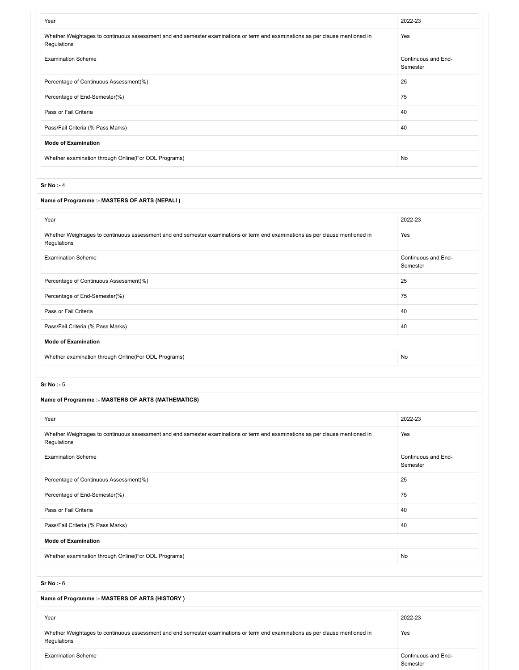| Year                                                                                                                                         | 2022-23                         |
|----------------------------------------------------------------------------------------------------------------------------------------------|---------------------------------|
| Whether Weightages to continuous assessment and end semester examinations or term end examinations as per clause mentioned in<br>Regulations | Yes                             |
| <b>Examination Scheme</b>                                                                                                                    | Continuous and End-<br>Semester |
| Percentage of Continuous Assessment(%)                                                                                                       | 25                              |
| Percentage of End-Semester(%)                                                                                                                | 75                              |
| Pass or Fail Criteria                                                                                                                        | 40                              |
| Pass/Fail Criteria (% Pass Marks)                                                                                                            | 40                              |
| <b>Mode of Examination</b>                                                                                                                   |                                 |
| Whether examination through Online(For ODL Programs)                                                                                         | No                              |
|                                                                                                                                              |                                 |
| Sr No : 4                                                                                                                                    |                                 |

#### **Name of Programme :- MASTERS OF ARTS (NEPALI )**

| Year                                                                                                                                         | 2022-23                         |
|----------------------------------------------------------------------------------------------------------------------------------------------|---------------------------------|
| Whether Weightages to continuous assessment and end semester examinations or term end examinations as per clause mentioned in<br>Regulations | Yes                             |
| <b>Examination Scheme</b>                                                                                                                    | Continuous and End-<br>Semester |
| Percentage of Continuous Assessment(%)                                                                                                       | 25                              |
| Percentage of End-Semester(%)                                                                                                                | 75                              |
| Pass or Fail Criteria                                                                                                                        | 40                              |
| Pass/Fail Criteria (% Pass Marks)                                                                                                            | 40                              |
| <b>Mode of Examination</b>                                                                                                                   |                                 |
| Whether examination through Online(For ODL Programs)                                                                                         | No                              |

#### **Sr No :-** 5

#### **Name of Programme :- MASTERS OF ARTS (MATHEMATICS)**

| Year                                                                                                                                         | 2022-23                         |
|----------------------------------------------------------------------------------------------------------------------------------------------|---------------------------------|
| Whether Weightages to continuous assessment and end semester examinations or term end examinations as per clause mentioned in<br>Regulations | Yes                             |
| <b>Examination Scheme</b>                                                                                                                    | Continuous and End-<br>Semester |
| Percentage of Continuous Assessment(%)                                                                                                       | 25                              |
| Percentage of End-Semester(%)                                                                                                                | 75                              |
| Pass or Fail Criteria                                                                                                                        | 40                              |
| Pass/Fail Criteria (% Pass Marks)                                                                                                            | 40                              |
| <b>Mode of Examination</b>                                                                                                                   |                                 |
| Whether examination through Online(For ODL Programs)                                                                                         | No                              |
|                                                                                                                                              |                                 |
| Sr No : 6                                                                                                                                    |                                 |
| Name of Programme :- MASTERS OF ARTS (HISTORY)                                                                                               |                                 |
| Year                                                                                                                                         | 2022-23                         |
| Whether Weightages to continuous assessment and end semester examinations or term end examinations as per clause mentioned in<br>Regulations | Yes                             |
| <b>Examination Scheme</b>                                                                                                                    | Continuous and End-<br>Semester |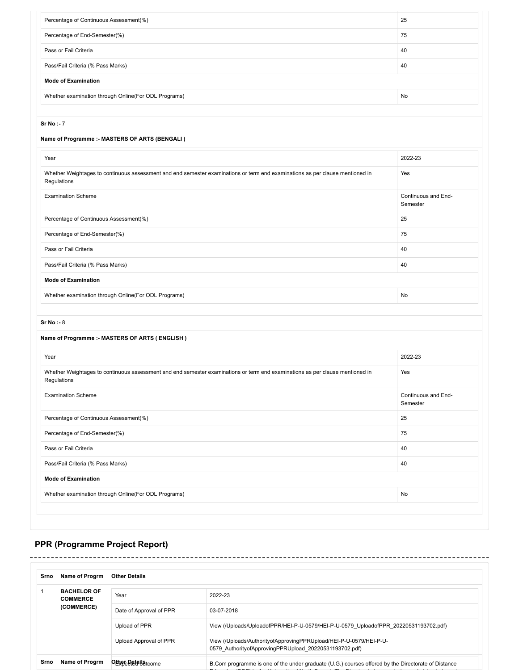| Percentage of Continuous Assessment(%)                                                                                                       | 25                              |
|----------------------------------------------------------------------------------------------------------------------------------------------|---------------------------------|
| Percentage of End-Semester(%)                                                                                                                | 75                              |
| Pass or Fail Criteria                                                                                                                        | 40                              |
| Pass/Fail Criteria (% Pass Marks)                                                                                                            | 40                              |
| <b>Mode of Examination</b>                                                                                                                   |                                 |
| Whether examination through Online(For ODL Programs)                                                                                         | No                              |
|                                                                                                                                              |                                 |
| $Sr No : -7$                                                                                                                                 |                                 |
| Name of Programme :- MASTERS OF ARTS (BENGALI)                                                                                               |                                 |
| Year                                                                                                                                         | 2022-23                         |
| Whether Weightages to continuous assessment and end semester examinations or term end examinations as per clause mentioned in<br>Regulations | Yes                             |
| <b>Examination Scheme</b>                                                                                                                    | Continuous and End-<br>Semester |
| Percentage of Continuous Assessment(%)                                                                                                       | 25                              |
| Percentage of End-Semester(%)                                                                                                                | 75                              |
| Pass or Fail Criteria                                                                                                                        | 40                              |
| Pass/Fail Criteria (% Pass Marks)                                                                                                            | 40                              |
| <b>Mode of Examination</b>                                                                                                                   |                                 |
| Whether examination through Online(For ODL Programs)                                                                                         | No                              |
| Sr No : 8                                                                                                                                    |                                 |
|                                                                                                                                              |                                 |
| Name of Programme :- MASTERS OF ARTS (ENGLISH)                                                                                               |                                 |
| Year                                                                                                                                         | 2022-23                         |
| Whether Weightages to continuous assessment and end semester examinations or term end examinations as per clause mentioned in<br>Regulations | Yes                             |
| <b>Examination Scheme</b>                                                                                                                    | Continuous and End-<br>Semester |
| Percentage of Continuous Assessment(%)                                                                                                       | 25                              |
| Percentage of End-Semester(%)                                                                                                                | 75                              |
| Pass or Fail Criteria                                                                                                                        | 40                              |
| Pass/Fail Criteria (% Pass Marks)                                                                                                            | 40                              |
| <b>Mode of Examination</b>                                                                                                                   |                                 |
| Whether examination through Online(For ODL Programs)                                                                                         | No                              |

# **PPR (Programme Project Report)**

 $=$   $-$ 

| Srno | Name of Progrm                                      | <b>Other Details</b>    |                                                                                                                              |  |
|------|-----------------------------------------------------|-------------------------|------------------------------------------------------------------------------------------------------------------------------|--|
|      | <b>BACHELOR OF</b><br><b>COMMERCE</b><br>(COMMERCE) | Year                    | 2022-23                                                                                                                      |  |
|      |                                                     | Date of Approval of PPR | 03-07-2018                                                                                                                   |  |
|      |                                                     | Upload of PPR           | View (/Uploads/UploadofPPR/HEI-P-U-0579/HEI-P-U-0579 UploadofPPR 20220531193702.pdf)                                         |  |
|      |                                                     | Upload Approval of PPR  | View (/Uploads/AuthorityofApprovingPPRUpload/HEI-P-U-0579/HEI-P-U-<br>0579 AuthorityofApprovingPPRUpload 20220531193702.pdf) |  |
| Srno | Name of Progrm                                      | Other Detail Strome     | B. Com programme is one of the under graduate (U.G.) courses offered by the Directorate of Distance                          |  |

------------------------------------

---------------------------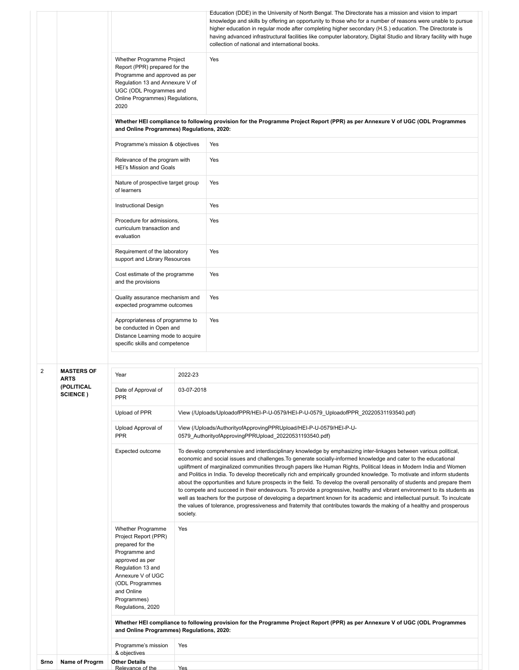|  |                |                                  | Whether Programme Project<br>Report (PPR) prepared for the<br>Programme and approved as per<br>Regulation 13 and Annexure V of<br>UGC (ODL Programmes and<br>Online Programmes) Regulations,<br>2020<br>and Online Programmes) Regulations, 2020:<br>Programme's mission & objectives<br>Relevance of the program with<br>HEI's Mission and Goals<br>Nature of prospective target group<br>of learners<br><b>Instructional Design</b><br>Procedure for admissions,<br>curriculum transaction and<br>evaluation<br>Requirement of the laboratory<br>support and Library Resources |                                                                                                                                                                                                                                                                                                                                                                                                                                                                                                                                                                                                                                                                                                                                                                                                                                                                                                                                                                                                                      | Education (DDE) in the University of North Bengal. The Directorate has a mission and vision to impart<br>knowledge and skills by offering an opportunity to those who for a number of reasons were unable to pursue<br>higher education in regular mode after completing higher secondary (H.S.) education. The Directorate is<br>having advanced infrastructural facilities like computer laboratory, Digital Studio and library facility with huge<br>collection of national and international books.<br>Yes<br>Whether HEI compliance to following provision for the Programme Project Report (PPR) as per Annexure V of UGC (ODL Programmes<br>Yes<br>Yes<br>Yes<br>Yes<br>Yes<br>Yes |  |
|--|----------------|----------------------------------|----------------------------------------------------------------------------------------------------------------------------------------------------------------------------------------------------------------------------------------------------------------------------------------------------------------------------------------------------------------------------------------------------------------------------------------------------------------------------------------------------------------------------------------------------------------------------------|----------------------------------------------------------------------------------------------------------------------------------------------------------------------------------------------------------------------------------------------------------------------------------------------------------------------------------------------------------------------------------------------------------------------------------------------------------------------------------------------------------------------------------------------------------------------------------------------------------------------------------------------------------------------------------------------------------------------------------------------------------------------------------------------------------------------------------------------------------------------------------------------------------------------------------------------------------------------------------------------------------------------|-------------------------------------------------------------------------------------------------------------------------------------------------------------------------------------------------------------------------------------------------------------------------------------------------------------------------------------------------------------------------------------------------------------------------------------------------------------------------------------------------------------------------------------------------------------------------------------------------------------------------------------------------------------------------------------------|--|
|  |                |                                  | Cost estimate of the programme<br>and the provisions<br>Quality assurance mechanism and<br>expected programme outcomes                                                                                                                                                                                                                                                                                                                                                                                                                                                           |                                                                                                                                                                                                                                                                                                                                                                                                                                                                                                                                                                                                                                                                                                                                                                                                                                                                                                                                                                                                                      | Yes<br>Yes                                                                                                                                                                                                                                                                                                                                                                                                                                                                                                                                                                                                                                                                                |  |
|  |                |                                  | Appropriateness of programme to<br>be conducted in Open and<br>Distance Learning mode to acquire<br>specific skills and competence                                                                                                                                                                                                                                                                                                                                                                                                                                               |                                                                                                                                                                                                                                                                                                                                                                                                                                                                                                                                                                                                                                                                                                                                                                                                                                                                                                                                                                                                                      | Yes                                                                                                                                                                                                                                                                                                                                                                                                                                                                                                                                                                                                                                                                                       |  |
|  | $\overline{2}$ | <b>MASTERS OF</b><br><b>ARTS</b> | Year                                                                                                                                                                                                                                                                                                                                                                                                                                                                                                                                                                             | 2022-23                                                                                                                                                                                                                                                                                                                                                                                                                                                                                                                                                                                                                                                                                                                                                                                                                                                                                                                                                                                                              |                                                                                                                                                                                                                                                                                                                                                                                                                                                                                                                                                                                                                                                                                           |  |
|  |                | (POLITICAL<br><b>SCIENCE</b> )   | Date of Approval of<br><b>PPR</b>                                                                                                                                                                                                                                                                                                                                                                                                                                                                                                                                                | 03-07-2018                                                                                                                                                                                                                                                                                                                                                                                                                                                                                                                                                                                                                                                                                                                                                                                                                                                                                                                                                                                                           |                                                                                                                                                                                                                                                                                                                                                                                                                                                                                                                                                                                                                                                                                           |  |
|  |                |                                  | Upload of PPR                                                                                                                                                                                                                                                                                                                                                                                                                                                                                                                                                                    |                                                                                                                                                                                                                                                                                                                                                                                                                                                                                                                                                                                                                                                                                                                                                                                                                                                                                                                                                                                                                      | View (/Uploads/UploadofPPR/HEI-P-U-0579/HEI-P-U-0579 UploadofPPR 20220531193540.pdf)                                                                                                                                                                                                                                                                                                                                                                                                                                                                                                                                                                                                      |  |
|  |                |                                  | Upload Approval of<br><b>PPR</b>                                                                                                                                                                                                                                                                                                                                                                                                                                                                                                                                                 |                                                                                                                                                                                                                                                                                                                                                                                                                                                                                                                                                                                                                                                                                                                                                                                                                                                                                                                                                                                                                      | View (/Uploads/AuthorityofApprovingPPRUpload/HEI-P-U-0579/HEI-P-U-<br>0579_AuthorityofApprovingPPRUpload_20220531193540.pdf)                                                                                                                                                                                                                                                                                                                                                                                                                                                                                                                                                              |  |
|  |                |                                  | Expected outcome                                                                                                                                                                                                                                                                                                                                                                                                                                                                                                                                                                 | To develop comprehensive and interdisciplinary knowledge by emphasizing inter-linkages between various political,<br>economic and social issues and challenges. To generate socially-informed knowledge and cater to the educational<br>upliftment of marginalized communities through papers like Human Rights, Political Ideas in Modern India and Women<br>and Politics in India. To develop theoretically rich and empirically grounded knowledge. To motivate and inform students<br>about the opportunities and future prospects in the field. To develop the overall personality of students and prepare them<br>to compete and succeed in their endeavours. To provide a progressive, healthy and vibrant environment to its students as<br>well as teachers for the purpose of developing a department known for its academic and intellectual pursuit. To inculcate<br>the values of tolerance, progressiveness and fraternity that contributes towards the making of a healthy and prosperous<br>society. |                                                                                                                                                                                                                                                                                                                                                                                                                                                                                                                                                                                                                                                                                           |  |
|  |                |                                  | Whether Programme<br>Project Report (PPR)<br>prepared for the<br>Programme and<br>approved as per<br>Regulation 13 and<br>Annexure V of UGC<br>(ODL Programmes<br>and Online<br>Programmes)<br>Regulations, 2020                                                                                                                                                                                                                                                                                                                                                                 | Yes                                                                                                                                                                                                                                                                                                                                                                                                                                                                                                                                                                                                                                                                                                                                                                                                                                                                                                                                                                                                                  |                                                                                                                                                                                                                                                                                                                                                                                                                                                                                                                                                                                                                                                                                           |  |
|  |                |                                  | and Online Programmes) Regulations, 2020:                                                                                                                                                                                                                                                                                                                                                                                                                                                                                                                                        |                                                                                                                                                                                                                                                                                                                                                                                                                                                                                                                                                                                                                                                                                                                                                                                                                                                                                                                                                                                                                      | Whether HEI compliance to following provision for the Programme Project Report (PPR) as per Annexure V of UGC (ODL Programmes                                                                                                                                                                                                                                                                                                                                                                                                                                                                                                                                                             |  |
|  |                |                                  | Programme's mission<br>& objectives                                                                                                                                                                                                                                                                                                                                                                                                                                                                                                                                              | Yes                                                                                                                                                                                                                                                                                                                                                                                                                                                                                                                                                                                                                                                                                                                                                                                                                                                                                                                                                                                                                  |                                                                                                                                                                                                                                                                                                                                                                                                                                                                                                                                                                                                                                                                                           |  |
|  | Srno           | Name of Progrm                   | <b>Other Details</b><br>Relevance of the                                                                                                                                                                                                                                                                                                                                                                                                                                                                                                                                         | <b>Yes</b>                                                                                                                                                                                                                                                                                                                                                                                                                                                                                                                                                                                                                                                                                                                                                                                                                                                                                                                                                                                                           |                                                                                                                                                                                                                                                                                                                                                                                                                                                                                                                                                                                                                                                                                           |  |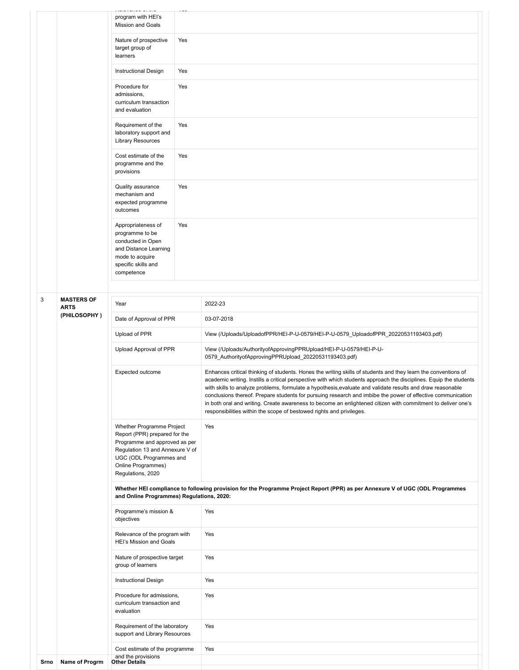|      |                             | program with HEI's<br>Mission and Goals                                                                                                                                                              |     |                                                                                                                                                                                                                                                                                                                                                                                                                                                                                                                                                                                                                                                           |
|------|-----------------------------|------------------------------------------------------------------------------------------------------------------------------------------------------------------------------------------------------|-----|-----------------------------------------------------------------------------------------------------------------------------------------------------------------------------------------------------------------------------------------------------------------------------------------------------------------------------------------------------------------------------------------------------------------------------------------------------------------------------------------------------------------------------------------------------------------------------------------------------------------------------------------------------------|
|      |                             | Nature of prospective<br>target group of<br>learners                                                                                                                                                 | Yes |                                                                                                                                                                                                                                                                                                                                                                                                                                                                                                                                                                                                                                                           |
|      |                             | Instructional Design                                                                                                                                                                                 | Yes |                                                                                                                                                                                                                                                                                                                                                                                                                                                                                                                                                                                                                                                           |
|      |                             | Procedure for<br>admissions,<br>curriculum transaction<br>and evaluation                                                                                                                             | Yes |                                                                                                                                                                                                                                                                                                                                                                                                                                                                                                                                                                                                                                                           |
|      |                             | Requirement of the<br>laboratory support and<br><b>Library Resources</b>                                                                                                                             | Yes |                                                                                                                                                                                                                                                                                                                                                                                                                                                                                                                                                                                                                                                           |
|      |                             | Cost estimate of the<br>programme and the<br>provisions                                                                                                                                              | Yes |                                                                                                                                                                                                                                                                                                                                                                                                                                                                                                                                                                                                                                                           |
|      |                             | Quality assurance<br>mechanism and<br>expected programme<br>outcomes                                                                                                                                 | Yes |                                                                                                                                                                                                                                                                                                                                                                                                                                                                                                                                                                                                                                                           |
|      |                             | Appropriateness of<br>programme to be<br>conducted in Open<br>and Distance Learning<br>mode to acquire<br>specific skills and<br>competence                                                          | Yes |                                                                                                                                                                                                                                                                                                                                                                                                                                                                                                                                                                                                                                                           |
| 3    | <b>MASTERS OF</b>           |                                                                                                                                                                                                      |     |                                                                                                                                                                                                                                                                                                                                                                                                                                                                                                                                                                                                                                                           |
|      | <b>ARTS</b><br>(PHILOSOPHY) | Year                                                                                                                                                                                                 |     | 2022-23                                                                                                                                                                                                                                                                                                                                                                                                                                                                                                                                                                                                                                                   |
|      |                             | Date of Approval of PPR                                                                                                                                                                              |     | 03-07-2018                                                                                                                                                                                                                                                                                                                                                                                                                                                                                                                                                                                                                                                |
|      |                             | Upload of PPR                                                                                                                                                                                        |     | View (/Uploads/UploadofPPR/HEI-P-U-0579/HEI-P-U-0579_UploadofPPR_20220531193403.pdf)                                                                                                                                                                                                                                                                                                                                                                                                                                                                                                                                                                      |
|      |                             | Upload Approval of PPR                                                                                                                                                                               |     | View (/Uploads/AuthorityofApprovingPPRUpload/HEI-P-U-0579/HEI-P-U-<br>0579_AuthorityofApprovingPPRUpload_20220531193403.pdf)                                                                                                                                                                                                                                                                                                                                                                                                                                                                                                                              |
|      |                             | Expected outcome                                                                                                                                                                                     |     | Enhances critical thinking of students. Hones the writing skills of students and they learn the conventions of<br>academic writing. Instills a critical perspective with which students approach the disciplines. Equip the students<br>with skills to analyze problems, formulate a hypothesis, evaluate and validate results and draw reasonable<br>conclusions thereof. Prepare students for pursuing research and imbibe the power of effective communication<br>in both oral and writing. Create awareness to become an enlightened citizen with commitment to deliver one's<br>responsibilities within the scope of bestowed rights and privileges. |
|      |                             | Whether Programme Project<br>Report (PPR) prepared for the<br>Programme and approved as per<br>Regulation 13 and Annexure V of<br>UGC (ODL Programmes and<br>Online Programmes)<br>Regulations, 2020 |     | Yes                                                                                                                                                                                                                                                                                                                                                                                                                                                                                                                                                                                                                                                       |
|      |                             | and Online Programmes) Regulations, 2020:                                                                                                                                                            |     | Whether HEI compliance to following provision for the Programme Project Report (PPR) as per Annexure V of UGC (ODL Programmes                                                                                                                                                                                                                                                                                                                                                                                                                                                                                                                             |
|      |                             | Programme's mission &<br>objectives                                                                                                                                                                  |     | Yes                                                                                                                                                                                                                                                                                                                                                                                                                                                                                                                                                                                                                                                       |
|      |                             | Relevance of the program with<br>HEI's Mission and Goals                                                                                                                                             |     | Yes                                                                                                                                                                                                                                                                                                                                                                                                                                                                                                                                                                                                                                                       |
|      |                             | Nature of prospective target<br>group of learners                                                                                                                                                    |     | Yes                                                                                                                                                                                                                                                                                                                                                                                                                                                                                                                                                                                                                                                       |
|      |                             | Instructional Design                                                                                                                                                                                 |     | Yes                                                                                                                                                                                                                                                                                                                                                                                                                                                                                                                                                                                                                                                       |
|      |                             | Procedure for admissions,<br>curriculum transaction and<br>evaluation                                                                                                                                |     | Yes                                                                                                                                                                                                                                                                                                                                                                                                                                                                                                                                                                                                                                                       |
|      |                             | Requirement of the laboratory<br>support and Library Resources                                                                                                                                       |     | Yes                                                                                                                                                                                                                                                                                                                                                                                                                                                                                                                                                                                                                                                       |
|      |                             | Cost estimate of the programme<br>and the provisions                                                                                                                                                 |     | Yes                                                                                                                                                                                                                                                                                                                                                                                                                                                                                                                                                                                                                                                       |
| Srno | Name of Progrm              | <b>Other Details</b>                                                                                                                                                                                 |     |                                                                                                                                                                                                                                                                                                                                                                                                                                                                                                                                                                                                                                                           |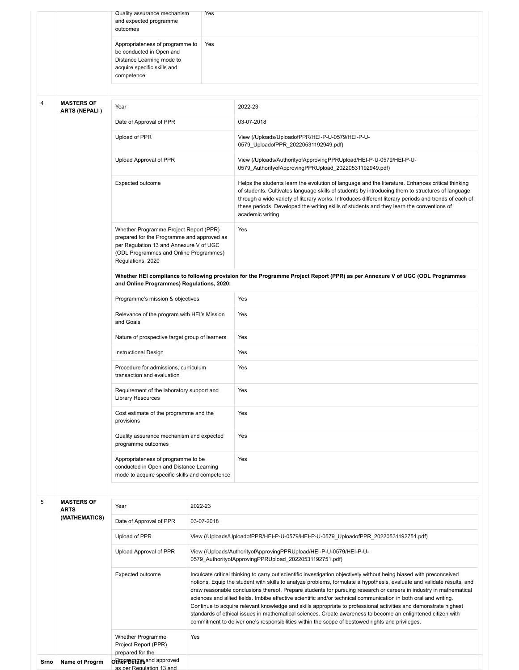|                |                              | Quality assurance mechanism<br>and expected programme<br>outcomes                                                                                                                              | Yes        |                                                                                                                                                                                                                                                                                                                                                                                                                                                                                                                                                                                                                                                                                                                                                                                                                                  |
|----------------|------------------------------|------------------------------------------------------------------------------------------------------------------------------------------------------------------------------------------------|------------|----------------------------------------------------------------------------------------------------------------------------------------------------------------------------------------------------------------------------------------------------------------------------------------------------------------------------------------------------------------------------------------------------------------------------------------------------------------------------------------------------------------------------------------------------------------------------------------------------------------------------------------------------------------------------------------------------------------------------------------------------------------------------------------------------------------------------------|
|                |                              | Appropriateness of programme to<br>be conducted in Open and<br>Distance Learning mode to<br>acquire specific skills and<br>competence                                                          | Yes        |                                                                                                                                                                                                                                                                                                                                                                                                                                                                                                                                                                                                                                                                                                                                                                                                                                  |
| $\overline{4}$ | <b>MASTERS OF</b>            | Year                                                                                                                                                                                           |            | 2022-23                                                                                                                                                                                                                                                                                                                                                                                                                                                                                                                                                                                                                                                                                                                                                                                                                          |
|                | <b>ARTS (NEPALI)</b>         | Date of Approval of PPR                                                                                                                                                                        |            | 03-07-2018                                                                                                                                                                                                                                                                                                                                                                                                                                                                                                                                                                                                                                                                                                                                                                                                                       |
|                |                              | Upload of PPR                                                                                                                                                                                  |            | View (/Uploads/UploadofPPR/HEI-P-U-0579/HEI-P-U-<br>0579_UploadofPPR_20220531192949.pdf)                                                                                                                                                                                                                                                                                                                                                                                                                                                                                                                                                                                                                                                                                                                                         |
|                |                              | Upload Approval of PPR                                                                                                                                                                         |            | View (/Uploads/AuthorityofApprovingPPRUpload/HEI-P-U-0579/HEI-P-U-<br>0579 AuthorityofApprovingPPRUpload 20220531192949.pdf)                                                                                                                                                                                                                                                                                                                                                                                                                                                                                                                                                                                                                                                                                                     |
|                |                              | Expected outcome                                                                                                                                                                               |            | Helps the students learn the evolution of language and the literature. Enhances critical thinking<br>of students. Cultivates language skills of students by introducing them to structures of language<br>through a wide variety of literary works. Introduces different literary periods and trends of each of<br>these periods. Developed the writing skills of students and they learn the conventions of<br>academic writing                                                                                                                                                                                                                                                                                                                                                                                                 |
|                |                              | Whether Programme Project Report (PPR)<br>prepared for the Programme and approved as<br>per Regulation 13 and Annexure V of UGC<br>(ODL Programmes and Online Programmes)<br>Regulations, 2020 |            | Yes                                                                                                                                                                                                                                                                                                                                                                                                                                                                                                                                                                                                                                                                                                                                                                                                                              |
|                |                              | and Online Programmes) Regulations, 2020:                                                                                                                                                      |            | Whether HEI compliance to following provision for the Programme Project Report (PPR) as per Annexure V of UGC (ODL Programmes                                                                                                                                                                                                                                                                                                                                                                                                                                                                                                                                                                                                                                                                                                    |
|                |                              | Programme's mission & objectives                                                                                                                                                               |            | Yes                                                                                                                                                                                                                                                                                                                                                                                                                                                                                                                                                                                                                                                                                                                                                                                                                              |
|                |                              | Relevance of the program with HEI's Mission<br>and Goals                                                                                                                                       |            | Yes                                                                                                                                                                                                                                                                                                                                                                                                                                                                                                                                                                                                                                                                                                                                                                                                                              |
|                |                              | Nature of prospective target group of learners                                                                                                                                                 |            | Yes                                                                                                                                                                                                                                                                                                                                                                                                                                                                                                                                                                                                                                                                                                                                                                                                                              |
|                |                              | <b>Instructional Design</b>                                                                                                                                                                    |            | Yes                                                                                                                                                                                                                                                                                                                                                                                                                                                                                                                                                                                                                                                                                                                                                                                                                              |
|                |                              | Procedure for admissions, curriculum<br>transaction and evaluation                                                                                                                             |            | Yes                                                                                                                                                                                                                                                                                                                                                                                                                                                                                                                                                                                                                                                                                                                                                                                                                              |
|                |                              | Requirement of the laboratory support and<br><b>Library Resources</b>                                                                                                                          |            | Yes                                                                                                                                                                                                                                                                                                                                                                                                                                                                                                                                                                                                                                                                                                                                                                                                                              |
|                |                              | Cost estimate of the programme and the<br>provisions                                                                                                                                           |            | Yes                                                                                                                                                                                                                                                                                                                                                                                                                                                                                                                                                                                                                                                                                                                                                                                                                              |
|                |                              | Quality assurance mechanism and expected<br>programme outcomes                                                                                                                                 |            | Yes                                                                                                                                                                                                                                                                                                                                                                                                                                                                                                                                                                                                                                                                                                                                                                                                                              |
|                |                              | Appropriateness of programme to be<br>conducted in Open and Distance Learning<br>mode to acquire specific skills and competence                                                                |            | Yes                                                                                                                                                                                                                                                                                                                                                                                                                                                                                                                                                                                                                                                                                                                                                                                                                              |
| 5              | <b>MASTERS OF</b>            |                                                                                                                                                                                                |            |                                                                                                                                                                                                                                                                                                                                                                                                                                                                                                                                                                                                                                                                                                                                                                                                                                  |
|                | <b>ARTS</b><br>(MATHEMATICS) | Year                                                                                                                                                                                           | 2022-23    |                                                                                                                                                                                                                                                                                                                                                                                                                                                                                                                                                                                                                                                                                                                                                                                                                                  |
|                |                              | Date of Approval of PPR<br>Upload of PPR                                                                                                                                                       | 03-07-2018 |                                                                                                                                                                                                                                                                                                                                                                                                                                                                                                                                                                                                                                                                                                                                                                                                                                  |
|                |                              | Upload Approval of PPR                                                                                                                                                                         |            | View (/Uploads/UploadofPPR/HEI-P-U-0579/HEI-P-U-0579_UploadofPPR_20220531192751.pdf)<br>View (/Uploads/AuthorityofApprovingPPRUpload/HEI-P-U-0579/HEI-P-U-                                                                                                                                                                                                                                                                                                                                                                                                                                                                                                                                                                                                                                                                       |
|                |                              |                                                                                                                                                                                                |            | 0579_AuthorityofApprovingPPRUpload_20220531192751.pdf)                                                                                                                                                                                                                                                                                                                                                                                                                                                                                                                                                                                                                                                                                                                                                                           |
|                |                              | Expected outcome                                                                                                                                                                               |            | Inculcate critical thinking to carry out scientific investigation objectively without being biased with preconceived<br>notions. Equip the student with skills to analyze problems, formulate a hypothesis, evaluate and validate results, and<br>draw reasonable conclusions thereof. Prepare students for pursuing research or careers in industry in mathematical<br>sciences and allied fields. Imbibe effective scientific and/or technical communication in both oral and writing.<br>Continue to acquire relevant knowledge and skills appropriate to professional activities and demonstrate highest<br>standards of ethical issues in mathematical sciences. Create awareness to become an enlightened citizen with<br>commitment to deliver one's responsibilities within the scope of bestowed rights and privileges. |
|                |                              | Whether Programme<br>Project Report (PPR)<br>prepared for the                                                                                                                                  | Yes        |                                                                                                                                                                                                                                                                                                                                                                                                                                                                                                                                                                                                                                                                                                                                                                                                                                  |
| Srno           | Name of Progrm               | <b>ORFIGHTS and approved</b><br>as per Regulation 13 and                                                                                                                                       |            |                                                                                                                                                                                                                                                                                                                                                                                                                                                                                                                                                                                                                                                                                                                                                                                                                                  |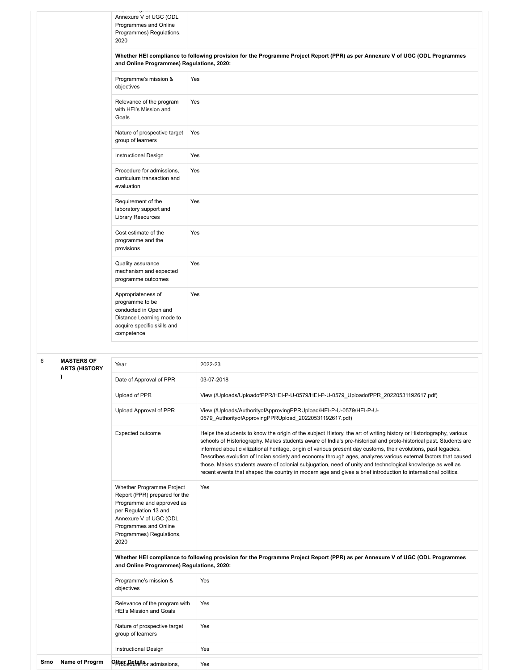|   |                      | uu pur riugununur ru uma<br>Annexure V of UGC (ODL<br>Programmes and Online<br>Programmes) Regulations,<br>2020                                                                                         |                                                                                                                                                                                                                                                                                                                                                                                                                                                                                                                                                                                                                                                                                                            |
|---|----------------------|---------------------------------------------------------------------------------------------------------------------------------------------------------------------------------------------------------|------------------------------------------------------------------------------------------------------------------------------------------------------------------------------------------------------------------------------------------------------------------------------------------------------------------------------------------------------------------------------------------------------------------------------------------------------------------------------------------------------------------------------------------------------------------------------------------------------------------------------------------------------------------------------------------------------------|
|   |                      | and Online Programmes) Regulations, 2020:                                                                                                                                                               | Whether HEI compliance to following provision for the Programme Project Report (PPR) as per Annexure V of UGC (ODL Programmes                                                                                                                                                                                                                                                                                                                                                                                                                                                                                                                                                                              |
|   |                      | Programme's mission &<br>objectives                                                                                                                                                                     | Yes                                                                                                                                                                                                                                                                                                                                                                                                                                                                                                                                                                                                                                                                                                        |
|   |                      | Relevance of the program<br>with HEI's Mission and<br>Goals                                                                                                                                             | Yes                                                                                                                                                                                                                                                                                                                                                                                                                                                                                                                                                                                                                                                                                                        |
|   |                      | Nature of prospective target<br>group of learners                                                                                                                                                       | Yes                                                                                                                                                                                                                                                                                                                                                                                                                                                                                                                                                                                                                                                                                                        |
|   |                      | Instructional Design                                                                                                                                                                                    | Yes                                                                                                                                                                                                                                                                                                                                                                                                                                                                                                                                                                                                                                                                                                        |
|   |                      | Procedure for admissions,<br>curriculum transaction and<br>evaluation                                                                                                                                   | Yes                                                                                                                                                                                                                                                                                                                                                                                                                                                                                                                                                                                                                                                                                                        |
|   |                      | Requirement of the<br>laboratory support and<br><b>Library Resources</b>                                                                                                                                | Yes                                                                                                                                                                                                                                                                                                                                                                                                                                                                                                                                                                                                                                                                                                        |
|   |                      | Cost estimate of the<br>programme and the<br>provisions                                                                                                                                                 | Yes                                                                                                                                                                                                                                                                                                                                                                                                                                                                                                                                                                                                                                                                                                        |
|   |                      | Quality assurance<br>mechanism and expected<br>programme outcomes                                                                                                                                       | Yes                                                                                                                                                                                                                                                                                                                                                                                                                                                                                                                                                                                                                                                                                                        |
|   |                      | Appropriateness of<br>programme to be<br>conducted in Open and<br>Distance Learning mode to<br>acquire specific skills and<br>competence                                                                | Yes                                                                                                                                                                                                                                                                                                                                                                                                                                                                                                                                                                                                                                                                                                        |
| 6 | <b>MASTERS OF</b>    |                                                                                                                                                                                                         |                                                                                                                                                                                                                                                                                                                                                                                                                                                                                                                                                                                                                                                                                                            |
|   | <b>ARTS (HISTORY</b> | Year                                                                                                                                                                                                    | 2022-23                                                                                                                                                                                                                                                                                                                                                                                                                                                                                                                                                                                                                                                                                                    |
|   |                      | Date of Approval of PPR                                                                                                                                                                                 | 03-07-2018                                                                                                                                                                                                                                                                                                                                                                                                                                                                                                                                                                                                                                                                                                 |
|   |                      | Upload of PPR                                                                                                                                                                                           | View (/Uploads/UploadofPPR/HEI-P-U-0579/HEI-P-U-0579_UploadofPPR_20220531192617.pdf)                                                                                                                                                                                                                                                                                                                                                                                                                                                                                                                                                                                                                       |
|   |                      | Upload Approval of PPR                                                                                                                                                                                  | View (/Uploads/AuthorityofApprovingPPRUpload/HEI-P-U-0579/HEI-P-U-<br>0579 AuthorityofApprovingPPRUpload 20220531192617.pdf)                                                                                                                                                                                                                                                                                                                                                                                                                                                                                                                                                                               |
|   |                      | Expected outcome                                                                                                                                                                                        | Helps the students to know the origin of the subject History, the art of writing history or Historiography, various<br>schools of Historiography. Makes students aware of India's pre-historical and proto-historical past. Students are<br>informed about civilizational heritage, origin of various present day customs, their evolutions, past legacies.<br>Describes evolution of Indian society and economy through ages, analyzes various external factors that caused<br>those. Makes students aware of colonial subjugation, need of unity and technological knowledge as well as<br>recent events that shaped the country in modern age and gives a brief introduction to international politics. |
|   |                      | Whether Programme Project<br>Report (PPR) prepared for the<br>Programme and approved as<br>per Regulation 13 and<br>Annexure V of UGC (ODL<br>Programmes and Online<br>Programmes) Regulations,<br>2020 | Yes                                                                                                                                                                                                                                                                                                                                                                                                                                                                                                                                                                                                                                                                                                        |
|   |                      | and Online Programmes) Regulations, 2020:                                                                                                                                                               | Whether HEI compliance to following provision for the Programme Project Report (PPR) as per Annexure V of UGC (ODL Programmes                                                                                                                                                                                                                                                                                                                                                                                                                                                                                                                                                                              |
|   |                      | Programme's mission &<br>objectives                                                                                                                                                                     | Yes                                                                                                                                                                                                                                                                                                                                                                                                                                                                                                                                                                                                                                                                                                        |
|   |                      | Relevance of the program with<br>HEI's Mission and Goals                                                                                                                                                | Yes                                                                                                                                                                                                                                                                                                                                                                                                                                                                                                                                                                                                                                                                                                        |
|   |                      | Nature of prospective target<br>group of learners                                                                                                                                                       | Yes                                                                                                                                                                                                                                                                                                                                                                                                                                                                                                                                                                                                                                                                                                        |
|   |                      |                                                                                                                                                                                                         | Yes                                                                                                                                                                                                                                                                                                                                                                                                                                                                                                                                                                                                                                                                                                        |
|   |                      | Instructional Design                                                                                                                                                                                    |                                                                                                                                                                                                                                                                                                                                                                                                                                                                                                                                                                                                                                                                                                            |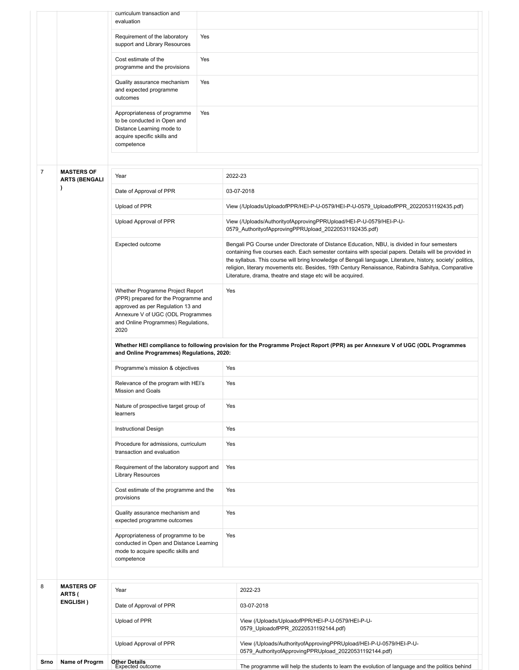|                |                                           | curriculum transaction and<br>evaluation                                                                                                                                                          |     |                                                                                                                                                                                                                                                                                                                                                                                                                                                                                          |
|----------------|-------------------------------------------|---------------------------------------------------------------------------------------------------------------------------------------------------------------------------------------------------|-----|------------------------------------------------------------------------------------------------------------------------------------------------------------------------------------------------------------------------------------------------------------------------------------------------------------------------------------------------------------------------------------------------------------------------------------------------------------------------------------------|
|                |                                           | Requirement of the laboratory                                                                                                                                                                     | Yes |                                                                                                                                                                                                                                                                                                                                                                                                                                                                                          |
|                |                                           | support and Library Resources                                                                                                                                                                     |     |                                                                                                                                                                                                                                                                                                                                                                                                                                                                                          |
|                |                                           | Cost estimate of the<br>programme and the provisions                                                                                                                                              | Yes |                                                                                                                                                                                                                                                                                                                                                                                                                                                                                          |
|                |                                           | Quality assurance mechanism<br>and expected programme                                                                                                                                             | Yes |                                                                                                                                                                                                                                                                                                                                                                                                                                                                                          |
|                |                                           | outcomes                                                                                                                                                                                          |     |                                                                                                                                                                                                                                                                                                                                                                                                                                                                                          |
|                |                                           | Appropriateness of programme<br>to be conducted in Open and<br>Distance Learning mode to<br>acquire specific skills and<br>competence                                                             | Yes |                                                                                                                                                                                                                                                                                                                                                                                                                                                                                          |
|                |                                           |                                                                                                                                                                                                   |     |                                                                                                                                                                                                                                                                                                                                                                                                                                                                                          |
| $\overline{7}$ | <b>MASTERS OF</b><br><b>ARTS (BENGALI</b> | Year                                                                                                                                                                                              |     | 2022-23                                                                                                                                                                                                                                                                                                                                                                                                                                                                                  |
|                |                                           | Date of Approval of PPR                                                                                                                                                                           |     | 03-07-2018                                                                                                                                                                                                                                                                                                                                                                                                                                                                               |
|                |                                           | Upload of PPR                                                                                                                                                                                     |     | View (/Uploads/UploadofPPR/HEI-P-U-0579/HEI-P-U-0579_UploadofPPR_20220531192435.pdf)                                                                                                                                                                                                                                                                                                                                                                                                     |
|                |                                           | Upload Approval of PPR                                                                                                                                                                            |     | View (/Uploads/AuthorityofApprovingPPRUpload/HEI-P-U-0579/HEI-P-U-<br>0579 AuthorityofApprovingPPRUpload 20220531192435.pdf)                                                                                                                                                                                                                                                                                                                                                             |
|                |                                           | Expected outcome                                                                                                                                                                                  |     | Bengali PG Course under Directorate of Distance Education, NBU, is divided in four semesters<br>containing five courses each. Each semester contains with special papers. Details will be provided in<br>the syllabus. This course will bring knowledge of Bengali language, Literature, history, society' politics,<br>religion, literary movements etc. Besides, 19th Century Renaissance, Rabindra Sahitya, Comparative<br>Literature, drama, theatre and stage etc will be acquired. |
|                |                                           | Whether Programme Project Report<br>(PPR) prepared for the Programme and<br>approved as per Regulation 13 and<br>Annexure V of UGC (ODL Programmes<br>and Online Programmes) Regulations,<br>2020 |     | Yes                                                                                                                                                                                                                                                                                                                                                                                                                                                                                      |
|                |                                           | and Online Programmes) Regulations, 2020:                                                                                                                                                         |     | Whether HEI compliance to following provision for the Programme Project Report (PPR) as per Annexure V of UGC (ODL Programmes                                                                                                                                                                                                                                                                                                                                                            |
|                |                                           | Programme's mission & objectives                                                                                                                                                                  |     | Yes                                                                                                                                                                                                                                                                                                                                                                                                                                                                                      |
|                |                                           | Relevance of the program with HEI's<br>Mission and Goals                                                                                                                                          |     | Yes                                                                                                                                                                                                                                                                                                                                                                                                                                                                                      |
|                |                                           | Nature of prospective target group of<br>learners                                                                                                                                                 |     | Yes                                                                                                                                                                                                                                                                                                                                                                                                                                                                                      |
|                |                                           | <b>Instructional Design</b>                                                                                                                                                                       |     | Yes                                                                                                                                                                                                                                                                                                                                                                                                                                                                                      |
|                |                                           | Procedure for admissions, curriculum<br>transaction and evaluation                                                                                                                                |     | Yes                                                                                                                                                                                                                                                                                                                                                                                                                                                                                      |
|                |                                           | Requirement of the laboratory support and<br><b>Library Resources</b>                                                                                                                             |     | Yes                                                                                                                                                                                                                                                                                                                                                                                                                                                                                      |
|                |                                           | Cost estimate of the programme and the<br>provisions                                                                                                                                              |     | Yes                                                                                                                                                                                                                                                                                                                                                                                                                                                                                      |
|                |                                           | Quality assurance mechanism and<br>expected programme outcomes                                                                                                                                    |     | Yes                                                                                                                                                                                                                                                                                                                                                                                                                                                                                      |
|                |                                           | Appropriateness of programme to be<br>conducted in Open and Distance Learning<br>mode to acquire specific skills and<br>competence                                                                |     | Yes                                                                                                                                                                                                                                                                                                                                                                                                                                                                                      |
|                |                                           |                                                                                                                                                                                                   |     |                                                                                                                                                                                                                                                                                                                                                                                                                                                                                          |
| 8              | <b>MASTERS OF</b><br>ARTS (               | Year                                                                                                                                                                                              |     | 2022-23                                                                                                                                                                                                                                                                                                                                                                                                                                                                                  |
|                | ENGLISH)                                  | Date of Approval of PPR                                                                                                                                                                           |     | 03-07-2018                                                                                                                                                                                                                                                                                                                                                                                                                                                                               |
|                |                                           | Upload of PPR                                                                                                                                                                                     |     | View (/Uploads/UploadofPPR/HEI-P-U-0579/HEI-P-U-<br>0579_UploadofPPR_20220531192144.pdf)                                                                                                                                                                                                                                                                                                                                                                                                 |
|                |                                           | Upload Approval of PPR                                                                                                                                                                            |     | View (/Uploads/AuthorityofApprovingPPRUpload/HEI-P-U-0579/HEI-P-U-<br>0579_AuthorityofApprovingPPRUpload_20220531192144.pdf)                                                                                                                                                                                                                                                                                                                                                             |
| Srno           | Name of Progrm                            | <b>Other Details</b><br>Expected outcome                                                                                                                                                          |     | The programme will help the students to learn the evolution of language and the politics behind                                                                                                                                                                                                                                                                                                                                                                                          |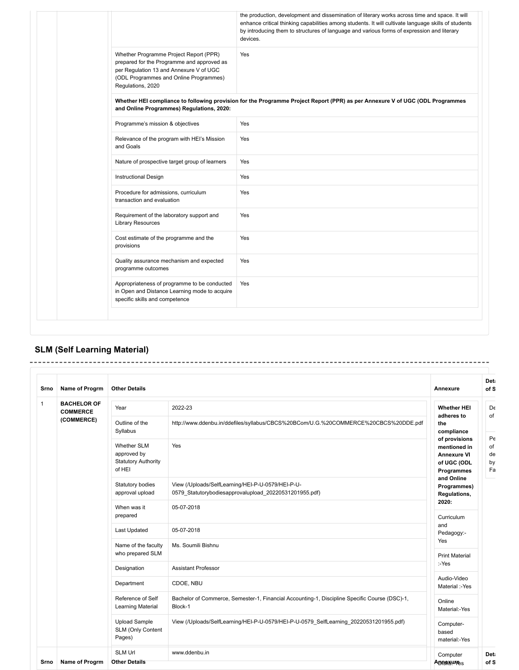|                                                                                                                                                                                                | the production, development and dissemination of literary works across time and space. It will<br>enhance critical thinking capabilities among students. It will cultivate language skills of students<br>by introducing them to structures of language and various forms of expression and literary<br>devices. |
|------------------------------------------------------------------------------------------------------------------------------------------------------------------------------------------------|------------------------------------------------------------------------------------------------------------------------------------------------------------------------------------------------------------------------------------------------------------------------------------------------------------------|
| Whether Programme Project Report (PPR)<br>prepared for the Programme and approved as<br>per Regulation 13 and Annexure V of UGC<br>(ODL Programmes and Online Programmes)<br>Regulations, 2020 | Yes                                                                                                                                                                                                                                                                                                              |
| and Online Programmes) Regulations, 2020:                                                                                                                                                      | Whether HEI compliance to following provision for the Programme Project Report (PPR) as per Annexure V of UGC (ODL Programmes                                                                                                                                                                                    |
| Programme's mission & objectives                                                                                                                                                               | Yes                                                                                                                                                                                                                                                                                                              |
| Relevance of the program with HEI's Mission<br>and Goals                                                                                                                                       | Yes                                                                                                                                                                                                                                                                                                              |
| Nature of prospective target group of learners                                                                                                                                                 | Yes                                                                                                                                                                                                                                                                                                              |
| <b>Instructional Design</b>                                                                                                                                                                    | Yes                                                                                                                                                                                                                                                                                                              |
| Procedure for admissions, curriculum<br>transaction and evaluation                                                                                                                             | Yes                                                                                                                                                                                                                                                                                                              |
| Requirement of the laboratory support and<br><b>Library Resources</b>                                                                                                                          | Yes                                                                                                                                                                                                                                                                                                              |
| Cost estimate of the programme and the<br>provisions                                                                                                                                           | Yes                                                                                                                                                                                                                                                                                                              |
| Quality assurance mechanism and expected<br>programme outcomes                                                                                                                                 | Yes                                                                                                                                                                                                                                                                                                              |
| Appropriateness of programme to be conducted<br>in Open and Distance Learning mode to acquire<br>specific skills and competence                                                                | Yes                                                                                                                                                                                                                                                                                                              |

# **SLM (Self Learning Material)**

| Srno         | Name of Progrm                        | <b>Other Details</b>                                                      |                                                                                                             | Annexure                                                                         | of S                       |
|--------------|---------------------------------------|---------------------------------------------------------------------------|-------------------------------------------------------------------------------------------------------------|----------------------------------------------------------------------------------|----------------------------|
| $\mathbf{1}$ | <b>BACHELOR OF</b><br><b>COMMERCE</b> | Year                                                                      | 2022-23                                                                                                     | <b>Whether HEI</b><br>adheres to                                                 | De<br>of                   |
|              | (COMMERCE)                            | Outline of the<br>Syllabus                                                | http://www.ddenbu.in/ddefiles/syllabus/CBCS%20BCom/U.G.%20COMMERCE%20CBCS%20DDE.pdf                         | the<br>compliance                                                                |                            |
|              |                                       | <b>Whether SLM</b><br>approved by<br><b>Statutory Authority</b><br>of HEI | Yes                                                                                                         | of provisions<br>mentioned in<br><b>Annexure VI</b><br>of UGC (ODL<br>Programmes | Pe<br>of<br>de<br>by<br>Fa |
|              |                                       | Statutory bodies<br>approval upload                                       | View (/Uploads/SelfLearning/HEI-P-U-0579/HEI-P-U-<br>0579 Statutorybodiesapprovalupload 20220531201955.pdf) | and Online<br>Programmes)<br>Regulations,                                        |                            |
|              |                                       | When was it<br>prepared                                                   | 05-07-2018                                                                                                  | 2020:<br>Curriculum                                                              |                            |
|              |                                       | Last Updated                                                              | 05-07-2018                                                                                                  | and<br>Pedagogy:-                                                                |                            |
|              |                                       | Name of the faculty<br>who prepared SLM                                   | Ms. Soumili Bishnu                                                                                          | Yes<br><b>Print Material</b>                                                     |                            |
|              |                                       | Designation                                                               | <b>Assistant Professor</b>                                                                                  | :-Yes                                                                            |                            |
|              |                                       | Department                                                                | CDOE, NBU                                                                                                   | Audio-Video<br>Material :-Yes                                                    |                            |
|              |                                       | Reference of Self<br>Learning Material                                    | Bachelor of Commerce, Semester-1, Financial Accounting-1, Discipline Specific Course (DSC)-1,<br>Block-1    | Online<br>Material:-Yes                                                          |                            |
|              |                                       | <b>Upload Sample</b><br>SLM (Only Content<br>Pages)                       | View (/Uploads/SelfLearning/HEI-P-U-0579/HEI-P-U-0579 SelfLearning 20220531201955.pdf)                      | Computer-<br>based<br>material:-Yes                                              |                            |
|              |                                       | <b>SLM Url</b>                                                            | www.ddenbu.in                                                                                               | Computer                                                                         | Det                        |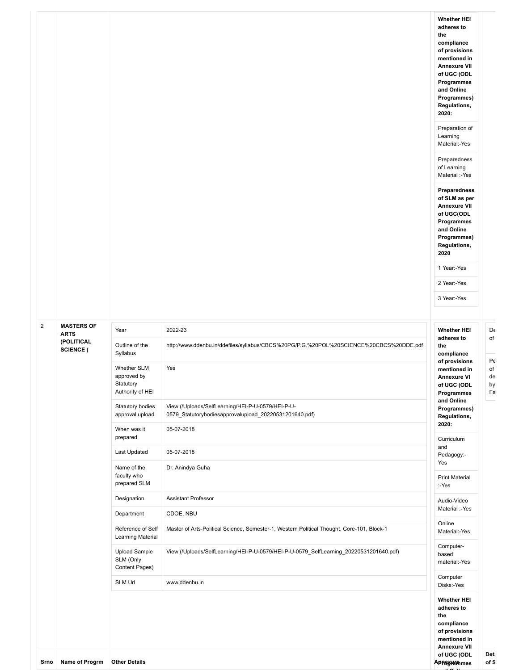|                |                                  |                                                                                                                                         |                                                                                                                                                                                                              | <b>Whether HEI</b><br>adheres to<br>the<br>compliance<br>of provisions<br>mentioned in<br><b>Annexure VII</b><br>of UGC (ODL<br>Programmes<br>and Online<br>Programmes)<br>Regulations,<br>2020:<br>Preparation of<br>Learning<br>Material:-Yes<br>Preparedness<br>of Learning<br>Material :-Yes<br>Preparedness<br>of SLM as per<br><b>Annexure VII</b><br>of UGC(ODL<br>Programmes<br>and Online<br>Programmes)<br>Regulations,<br>2020<br>1 Year:-Yes<br>2 Year:-Yes<br>3 Year:-Yes |
|----------------|----------------------------------|-----------------------------------------------------------------------------------------------------------------------------------------|--------------------------------------------------------------------------------------------------------------------------------------------------------------------------------------------------------------|----------------------------------------------------------------------------------------------------------------------------------------------------------------------------------------------------------------------------------------------------------------------------------------------------------------------------------------------------------------------------------------------------------------------------------------------------------------------------------------|
| $\overline{2}$ | <b>MASTERS OF</b><br><b>ARTS</b> | Year                                                                                                                                    | 2022-23                                                                                                                                                                                                      | <b>Whether HEI</b><br>adheres to                                                                                                                                                                                                                                                                                                                                                                                                                                                       |
|                | (POLITICAL<br>SCIENCE)           | Outline of the<br>Syllabus<br><b>Whether SLM</b><br>approved by<br>Statutory<br>Authority of HEI<br>Statutory bodies<br>approval upload | http://www.ddenbu.in/ddefiles/syllabus/CBCS%20PG/P.G.%20POL%20SCIENCE%20CBCS%20DDE.pdf<br>Yes<br>View (/Uploads/SelfLearning/HEI-P-U-0579/HEI-P-U-<br>0579_Statutorybodiesapprovalupload_20220531201640.pdf) | the<br>compliance<br>of provisions<br>mentioned in<br><b>Annexure VI</b><br>of UGC (ODL<br>Programmes<br>and Online<br>Programmes)<br>Regulations,                                                                                                                                                                                                                                                                                                                                     |
|                |                                  | When was it<br>prepared                                                                                                                 | 05-07-2018                                                                                                                                                                                                   | 2020:<br>Curriculum                                                                                                                                                                                                                                                                                                                                                                                                                                                                    |
|                |                                  | Last Updated                                                                                                                            | 05-07-2018                                                                                                                                                                                                   | and<br>Pedagogy:-                                                                                                                                                                                                                                                                                                                                                                                                                                                                      |
|                |                                  | Name of the<br>faculty who<br>prepared SLM                                                                                              | Dr. Anindya Guha                                                                                                                                                                                             | Yes<br><b>Print Material</b><br>:-Yes                                                                                                                                                                                                                                                                                                                                                                                                                                                  |
|                |                                  | Designation                                                                                                                             | <b>Assistant Professor</b>                                                                                                                                                                                   | Audio-Video                                                                                                                                                                                                                                                                                                                                                                                                                                                                            |
|                |                                  | Department                                                                                                                              | CDOE, NBU                                                                                                                                                                                                    | Material :-Yes<br>Online                                                                                                                                                                                                                                                                                                                                                                                                                                                               |
|                |                                  | Reference of Self<br>Learning Material                                                                                                  | Master of Arts-Political Science, Semester-1, Western Political Thought, Core-101, Block-1                                                                                                                   | Material:-Yes                                                                                                                                                                                                                                                                                                                                                                                                                                                                          |
|                |                                  | <b>Upload Sample</b><br>SLM (Only<br>Content Pages)                                                                                     | View (/Uploads/SelfLearning/HEI-P-U-0579/HEI-P-U-0579_SelfLearning_20220531201640.pdf)                                                                                                                       | Computer-<br>based<br>material:-Yes                                                                                                                                                                                                                                                                                                                                                                                                                                                    |
|                |                                  | SLM Url                                                                                                                                 | www.ddenbu.in                                                                                                                                                                                                | Computer<br>Disks:-Yes                                                                                                                                                                                                                                                                                                                                                                                                                                                                 |
|                |                                  |                                                                                                                                         |                                                                                                                                                                                                              | <b>Whether HEI</b><br>adheres to<br>the<br>compliance<br>of provisions<br>mentioned in<br>Annexure VII                                                                                                                                                                                                                                                                                                                                                                                 |
| Srno           | Name of Progrm                   | <b>Other Details</b>                                                                                                                    |                                                                                                                                                                                                              | Deta<br>of UGC (ODL<br>of S<br><b>Appegrummes</b>                                                                                                                                                                                                                                                                                                                                                                                                                                      |

Pe of de by

**of S**

**d O li**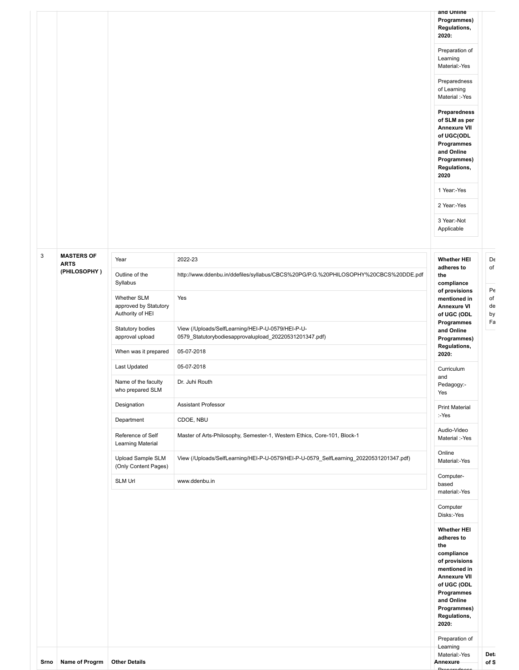|      |                             |                                                          |                                                                                                             | and Online<br>Programmes)<br>Regulations,<br>2020:<br>Preparation of<br>Learning<br>Material:-Yes<br>Preparedness<br>of Learning<br>Material :-Yes<br><b>Preparedness</b><br>of SLM as per<br><b>Annexure VII</b><br>of UGC(ODL<br>Programmes<br>and Online<br>Programmes)<br>Regulations,<br>2020<br>1 Year:-Yes<br>2 Year:-Yes<br>3 Year:-Not<br>Applicable |
|------|-----------------------------|----------------------------------------------------------|-------------------------------------------------------------------------------------------------------------|---------------------------------------------------------------------------------------------------------------------------------------------------------------------------------------------------------------------------------------------------------------------------------------------------------------------------------------------------------------|
| 3    | <b>MASTERS OF</b>           |                                                          |                                                                                                             |                                                                                                                                                                                                                                                                                                                                                               |
|      | <b>ARTS</b><br>(PHILOSOPHY) | Year<br>Outline of the<br>Syllabus                       | 2022-23<br>http://www.ddenbu.in/ddefiles/syllabus/CBCS%20PG/P.G.%20PHILOSOPHY%20CBCS%20DDE.pdf              | <b>Whether HEI</b><br>adheres to<br>the<br>compliance                                                                                                                                                                                                                                                                                                         |
|      |                             | Whether SLM<br>approved by Statutory<br>Authority of HEI | Yes                                                                                                         | of provisions<br>mentioned in<br><b>Annexure VI</b><br>of UGC (ODL                                                                                                                                                                                                                                                                                            |
|      |                             | Statutory bodies<br>approval upload                      | View (/Uploads/SelfLearning/HEI-P-U-0579/HEI-P-U-<br>0579_Statutorybodiesapprovalupload_20220531201347.pdf) | Programmes<br>and Online<br>Programmes)                                                                                                                                                                                                                                                                                                                       |
|      |                             | When was it prepared                                     | 05-07-2018                                                                                                  | Regulations,<br>2020:                                                                                                                                                                                                                                                                                                                                         |
|      |                             | Last Updated                                             | 05-07-2018                                                                                                  | Curriculum                                                                                                                                                                                                                                                                                                                                                    |
|      |                             | Name of the faculty<br>who prepared SLM                  | Dr. Juhi Routh                                                                                              | and<br>Pedagogy:-<br>Yes                                                                                                                                                                                                                                                                                                                                      |
|      |                             | Designation                                              | <b>Assistant Professor</b>                                                                                  | <b>Print Material</b>                                                                                                                                                                                                                                                                                                                                         |
|      |                             | Department                                               | CDOE, NBU                                                                                                   | :-Yes                                                                                                                                                                                                                                                                                                                                                         |
|      |                             | Reference of Self<br>Learning Material                   | Master of Arts-Philosophy, Semester-1, Western Ethics, Core-101, Block-1                                    | Audio-Video<br>Material :-Yes                                                                                                                                                                                                                                                                                                                                 |
|      |                             | Upload Sample SLM<br>(Only Content Pages)                | View (/Uploads/SelfLearning/HEI-P-U-0579/HEI-P-U-0579_SelfLearning_20220531201347.pdf)                      | Online<br>Material:-Yes                                                                                                                                                                                                                                                                                                                                       |
|      |                             | SLM Url                                                  | www.ddenbu.in                                                                                               | Computer-<br>based<br>material:-Yes                                                                                                                                                                                                                                                                                                                           |
|      |                             |                                                          |                                                                                                             | Computer<br>Disks:-Yes                                                                                                                                                                                                                                                                                                                                        |
|      |                             |                                                          |                                                                                                             | <b>Whether HEI</b><br>adheres to<br>the<br>compliance<br>of provisions<br>mentioned in<br><b>Annexure VII</b><br>of UGC (ODL<br>Programmes<br>and Online<br>Programmes)<br>Regulations,<br>2020:<br>Preparation of                                                                                                                                            |
| Srno | Name of Progrm              | <b>Other Details</b>                                     |                                                                                                             | Learning<br>Material:-Yes<br>Annexure                                                                                                                                                                                                                                                                                                                         |

Pe of de by Fa

De of

Preparedness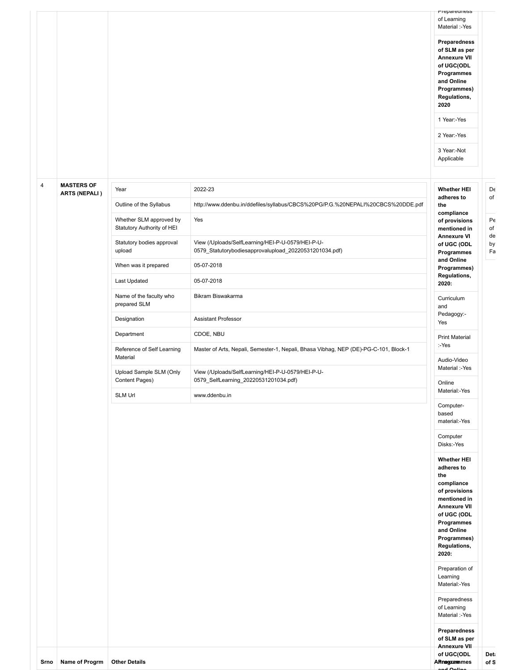based material:-Yes Computer Disks:-Yes **Whether HEI adheres to the compliance of provisions mentioned in Annexure VII of UGC (ODL Programmes and Online Programmes) Regulations, 2020:**

Preparation of Learning Material:-Yes Preparedness of Learning Material :-Yes **Preparedness of SLM as per Annexure VII of UGC(ODL Programmes and Online**

#### 4 **MASTERS OF ARTS (NEPALI )**

| Year                                                  | 2022-23                                                                                                     | <b>Whether HEI</b>                                     |
|-------------------------------------------------------|-------------------------------------------------------------------------------------------------------------|--------------------------------------------------------|
| Outline of the Syllabus                               | http://www.ddenbu.in/ddefiles/syllabus/CBCS%20PG/P.G.%20NEPALI%20CBCS%20DDE.pdf                             | adheres to<br>the                                      |
| Whether SLM approved by<br>Statutory Authority of HEI | Yes                                                                                                         | compliance<br>of provisions<br>mentioned in            |
| Statutory bodies approval<br>upload                   | View (/Uploads/SelfLearning/HEI-P-U-0579/HEI-P-U-<br>0579 Statutorybodiesapprovalupload 20220531201034.pdf) | <b>Annexure VI</b><br>of UGC (ODL<br><b>Programmes</b> |
| When was it prepared                                  | 05-07-2018                                                                                                  | and Online<br>Programmes)                              |
| <b>Last Updated</b>                                   | 05-07-2018                                                                                                  | Regulations,<br>2020:                                  |
| Name of the faculty who<br>prepared SLM               | Bikram Biswakarma                                                                                           | Curriculum<br>and                                      |
| Designation                                           | <b>Assistant Professor</b>                                                                                  | Pedagogy:-<br>Yes                                      |
| Department                                            | CDOE, NBU                                                                                                   | <b>Print Material</b>                                  |
| Reference of Self Learning                            | Master of Arts, Nepali, Semester-1, Nepali, Bhasa Vibhag, NEP (DE)-PG-C-101, Block-1                        | :-Yes                                                  |
| Material                                              |                                                                                                             | Audio-Video                                            |
| Upload Sample SLM (Only<br>Content Pages)             | View (/Uploads/SelfLearning/HEI-P-U-0579/HEI-P-U-<br>0579 SelfLearning 20220531201034.pdf)                  | Material :-Yes<br>Online                               |
| <b>SLM Url</b>                                        | www.ddenbu.in                                                                                               | Material:-Yes                                          |
|                                                       |                                                                                                             | Computer-                                              |

De of Pe of de by

Fa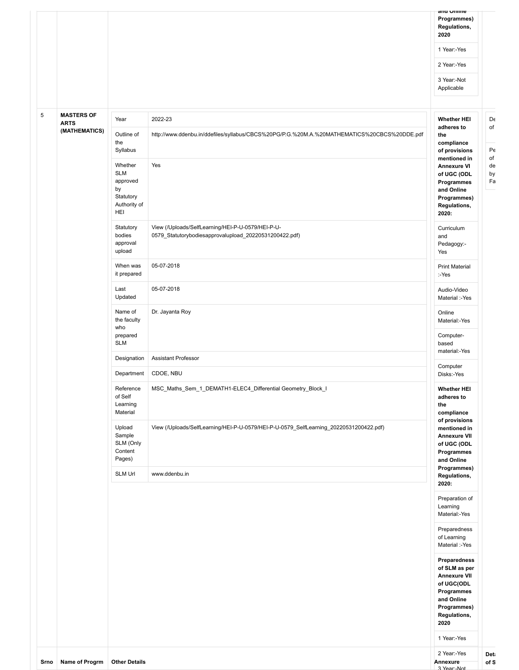| Srno | Name of Progrm                   | <b>Other Details</b>                                                        |                                                                                                             | 2 Year:-Yes<br>Annexure<br>3 Year - Not                                                                                                                                                                                            | Deta<br>of S   |
|------|----------------------------------|-----------------------------------------------------------------------------|-------------------------------------------------------------------------------------------------------------|------------------------------------------------------------------------------------------------------------------------------------------------------------------------------------------------------------------------------------|----------------|
|      |                                  |                                                                             |                                                                                                             | Learning<br>Material:-Yes<br>Preparedness<br>of Learning<br>Material :-Yes<br>Preparedness<br>of SLM as per<br><b>Annexure VII</b><br>of UGC(ODL<br>Programmes<br>and Online<br>Programmes)<br>Regulations,<br>2020<br>1 Year:-Yes |                |
|      |                                  | SLM Url                                                                     | www.ddenbu.in                                                                                               | Programmes)<br>Regulations,<br>2020:<br>Preparation of                                                                                                                                                                             |                |
|      |                                  | Upload<br>Sample<br>SLM (Only<br>Content<br>Pages)                          | View (/Uploads/SelfLearning/HEI-P-U-0579/HEI-P-U-0579_SelfLearning_20220531200422.pdf)                      | mentioned in<br><b>Annexure VII</b><br>of UGC (ODL<br>Programmes<br>and Online                                                                                                                                                     |                |
|      |                                  | Reference<br>of Self<br>Learning<br>Material                                | MSC_Maths_Sem_1_DEMATH1-ELEC4_Differential Geometry_Block_I                                                 | <b>Whether HEI</b><br>adheres to<br>the<br>compliance<br>of provisions                                                                                                                                                             |                |
|      |                                  | Department                                                                  | CDOE, NBU                                                                                                   | Computer<br>Disks:-Yes                                                                                                                                                                                                             |                |
|      |                                  | <b>SLM</b><br>Designation                                                   | <b>Assistant Professor</b>                                                                                  | based<br>material:-Yes                                                                                                                                                                                                             |                |
|      |                                  | Name of<br>the faculty<br>who<br>prepared                                   | Dr. Jayanta Roy                                                                                             | Online<br>Material:-Yes<br>Computer-                                                                                                                                                                                               |                |
|      |                                  | Last<br>Updated                                                             | 05-07-2018                                                                                                  | Audio-Video<br>Material :-Yes                                                                                                                                                                                                      |                |
|      |                                  | When was<br>it prepared                                                     | 05-07-2018                                                                                                  | <b>Print Material</b><br>:-Yes                                                                                                                                                                                                     |                |
|      |                                  | Statutory<br>bodies<br>approval<br>upload                                   | View (/Uploads/SelfLearning/HEI-P-U-0579/HEI-P-U-<br>0579_Statutorybodiesapprovalupload_20220531200422.pdf) | Curriculum<br>and<br>Pedagogy:-<br>Yes                                                                                                                                                                                             |                |
|      |                                  | Whether<br><b>SLM</b><br>approved<br>by<br>Statutory<br>Authority of<br>HEI | Yes                                                                                                         | <b>Annexure VI</b><br>of UGC (ODL<br>Programmes<br>and Online<br>Programmes)<br>Regulations,<br>2020:                                                                                                                              | de<br>by<br>Fa |
|      | (MATHEMATICS)                    | Outline of<br>the<br>Syllabus                                               | http://www.ddenbu.in/ddefiles/syllabus/CBCS%20PG/P.G.%20M.A.%20MATHEMATICS%20CBCS%20DDE.pdf                 | the<br>compliance<br>of provisions<br>mentioned in                                                                                                                                                                                 | Pe<br>of       |
| 5    | <b>MASTERS OF</b><br><b>ARTS</b> | Year                                                                        | 2022-23                                                                                                     | <b>Whether HEI</b><br>adheres to                                                                                                                                                                                                   | De<br>of       |
|      |                                  |                                                                             |                                                                                                             | 3 Year:-Not<br>Applicable                                                                                                                                                                                                          |                |
|      |                                  |                                                                             |                                                                                                             | 2 Year:-Yes                                                                                                                                                                                                                        |                |
|      |                                  |                                                                             |                                                                                                             | 1 Year:-Yes                                                                                                                                                                                                                        |                |
|      |                                  |                                                                             |                                                                                                             | anu Umme<br>Programmes)<br>Regulations,<br>2020                                                                                                                                                                                    |                |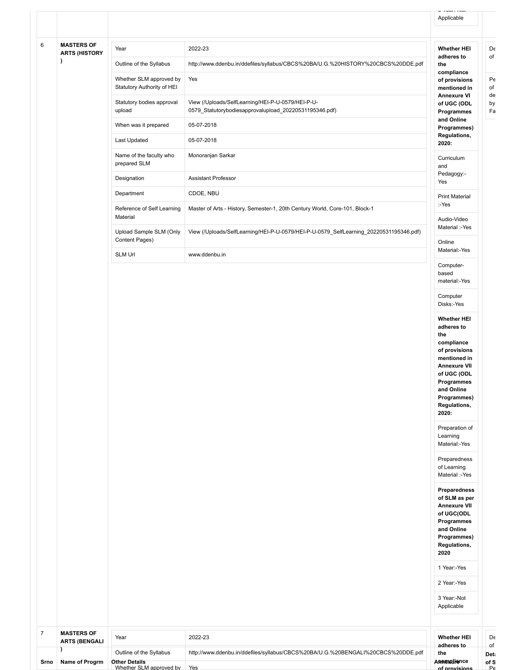|                | J                         | Outline of the Syllabus                               | http://www.ddenbu.in/ddefiles/syllabus/CBCS%20BA/U.G.%20BENGALI%20CBCS%20DDE.pdf       | the                                | <b>Det:</b> |
|----------------|---------------------------|-------------------------------------------------------|----------------------------------------------------------------------------------------|------------------------------------|-------------|
|                | <b>ARTS (BENGALI</b>      |                                                       |                                                                                        | adheres to                         | of          |
| $\overline{7}$ | <b>MASTERS OF</b>         | Year                                                  | 2022-23                                                                                | <b>Whether HEI</b>                 | De          |
|                |                           |                                                       |                                                                                        |                                    |             |
|                |                           |                                                       |                                                                                        | 3 Year:-Not<br>Applicable          |             |
|                |                           |                                                       |                                                                                        | 2 Year:-Yes                        |             |
|                |                           |                                                       |                                                                                        | 1 Year:-Yes                        |             |
|                |                           |                                                       |                                                                                        | Regulations,<br>2020               |             |
|                |                           |                                                       |                                                                                        | Programmes)                        |             |
|                |                           |                                                       |                                                                                        | Programmes<br>and Online           |             |
|                |                           |                                                       |                                                                                        | <b>Annexure VII</b><br>of UGC(ODL  |             |
|                |                           |                                                       |                                                                                        | Preparedness<br>of SLM as per      |             |
|                |                           |                                                       |                                                                                        | Material :-Yes                     |             |
|                |                           |                                                       |                                                                                        | of Learning                        |             |
|                |                           |                                                       |                                                                                        | Preparedness                       |             |
|                |                           |                                                       |                                                                                        | Learning<br>Material:-Yes          |             |
|                |                           |                                                       |                                                                                        | Preparation of                     |             |
|                |                           |                                                       |                                                                                        | Regulations,<br>2020:              |             |
|                |                           |                                                       |                                                                                        | and Online<br>Programmes)          |             |
|                |                           |                                                       |                                                                                        | Programmes                         |             |
|                |                           |                                                       |                                                                                        | <b>Annexure VII</b><br>of UGC (ODL |             |
|                |                           |                                                       |                                                                                        | of provisions<br>mentioned in      |             |
|                |                           |                                                       |                                                                                        | compliance                         |             |
|                |                           |                                                       |                                                                                        | adheres to<br>the                  |             |
|                |                           |                                                       |                                                                                        | <b>Whether HEI</b>                 |             |
|                |                           |                                                       |                                                                                        | Computer<br>Disks:-Yes             |             |
|                |                           |                                                       |                                                                                        | material:-Yes                      |             |
|                |                           |                                                       |                                                                                        | Computer-<br>based                 |             |
|                |                           | <b>SLM Url</b>                                        | www.ddenbu.in                                                                          | Material:-Yes                      |             |
|                |                           | Content Pages)                                        | View (/Uploads/SelfLearning/HEI-P-U-0579/HEI-P-U-0579_SelfLearning_20220531195346.pdf) | Online                             |             |
|                |                           | Material<br>Upload Sample SLM (Only                   |                                                                                        | Audio-Video<br>Material :-Yes      |             |
|                |                           | Reference of Self Learning                            | Master of Arts - History, Semester-1, 20th Century World, Core-101, Block-1            | :-Yes                              |             |
|                |                           | Department                                            | CDOE, NBU                                                                              | <b>Print Material</b>              |             |
|                |                           | Designation                                           | Assistant Professor                                                                    | Pedagogy:-<br>Yes                  |             |
|                |                           | Name of the faculty who<br>prepared SLM               | Monoranjan Sarkar                                                                      | Curriculum<br>and                  |             |
|                |                           | Last Updated                                          | 05-07-2018                                                                             | 2020:                              |             |
|                |                           | When was it prepared                                  |                                                                                        | Programmes)<br>Regulations,        |             |
|                |                           | upload                                                | 0579_Statutorybodiesapprovalupload_20220531195346.pdf)<br>05-07-2018                   | Programmes<br>and Online           |             |
|                |                           | Statutory bodies approval                             | View (/Uploads/SelfLearning/HEI-P-U-0579/HEI-P-U-                                      | <b>Annexure VI</b><br>of UGC (ODL  |             |
|                |                           | Whether SLM approved by<br>Statutory Authority of HEI | Yes                                                                                    | of provisions<br>mentioned in      |             |
|                |                           | Outline of the Syllabus                               | http://www.ddenbu.in/ddefiles/syllabus/CBCS%20BA/U.G.%20HISTORY%20CBCS%20DDE.pdf       | the<br>compliance                  |             |
|                | <b>ARTS (HISTORY</b><br>J | Year                                                  | 2022-23                                                                                | adheres to                         |             |
|                | <b>MASTERS OF</b>         |                                                       |                                                                                        | <b>Whether HEI</b>                 |             |
|                |                           |                                                       |                                                                                        |                                    |             |
|                |                           |                                                       |                                                                                        | Applicable                         |             |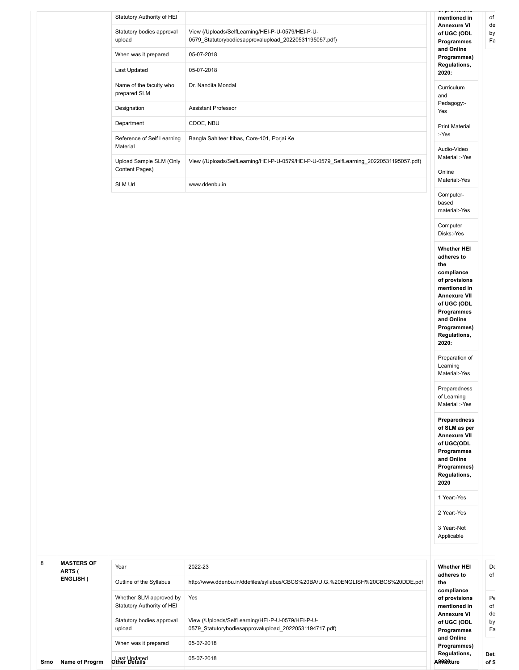|                                         |                                                                                                             | mentioned in                                                                                                                                                                                                       |
|-----------------------------------------|-------------------------------------------------------------------------------------------------------------|--------------------------------------------------------------------------------------------------------------------------------------------------------------------------------------------------------------------|
| Statutory bodies approval<br>upload     | View (/Uploads/SelfLearning/HEI-P-U-0579/HEI-P-U-<br>0579_Statutorybodiesapprovalupload_20220531195057.pdf) | <b>Annexure VI</b><br>of UGC (ODL<br>Programmes                                                                                                                                                                    |
| When was it prepared                    | 05-07-2018                                                                                                  | and Online<br>Programmes)                                                                                                                                                                                          |
| Last Updated                            | 05-07-2018                                                                                                  | Regulations,<br>2020:                                                                                                                                                                                              |
| Name of the faculty who<br>prepared SLM | Dr. Nandita Mondal                                                                                          | Curriculum<br>and                                                                                                                                                                                                  |
| Designation                             | <b>Assistant Professor</b>                                                                                  | Pedagogy:-<br>Yes                                                                                                                                                                                                  |
| Department                              | CDOE, NBU                                                                                                   | <b>Print Material</b>                                                                                                                                                                                              |
| Reference of Self Learning<br>Material  | Bangla Sahiteer Itihas, Core-101, Porjai Ke                                                                 | :-Yes                                                                                                                                                                                                              |
| Upload Sample SLM (Only                 | View (/Uploads/SelfLearning/HEI-P-U-0579/HEI-P-U-0579_SelfLearning_20220531195057.pdf)                      | Audio-Video<br>Material :-Yes                                                                                                                                                                                      |
| Content Pages)<br>SLM Url               | www.ddenbu.in                                                                                               | Online<br>Material:-Yes                                                                                                                                                                                            |
|                                         |                                                                                                             | Computer-<br>based<br>material:-Yes                                                                                                                                                                                |
|                                         |                                                                                                             | Computer<br>Disks:-Yes                                                                                                                                                                                             |
|                                         |                                                                                                             | <b>Whether HEI</b><br>adheres to<br>the<br>compliance<br>of provisions<br>mentioned in<br><b>Annexure VII</b><br>of UGC (ODL<br>Programmes<br>and Online<br>Programmes)<br>Regulations,<br>2020:<br>Preparation of |
|                                         |                                                                                                             | Learning<br>Material:-Yes                                                                                                                                                                                          |
|                                         |                                                                                                             | Preparedness<br>of Learning<br>Material :-Yes                                                                                                                                                                      |
|                                         |                                                                                                             |                                                                                                                                                                                                                    |
|                                         |                                                                                                             | Preparedness<br>of SLM as per<br><b>Annexure VII</b><br>of UGC(ODL<br>Programmes<br>and Online<br>Programmes)<br>Regulations,<br>2020                                                                              |
|                                         |                                                                                                             | 1 Year:-Yes                                                                                                                                                                                                        |
|                                         |                                                                                                             | 2 Year:-Yes                                                                                                                                                                                                        |

| 8    | <b>MASTERS OF</b><br>ARTS ( | Year                                                  | 2022-23                                                                                                     | <b>Whether HEI</b><br>adheres to                   | De<br>of       |
|------|-----------------------------|-------------------------------------------------------|-------------------------------------------------------------------------------------------------------------|----------------------------------------------------|----------------|
|      | <b>ENGLISH</b> )            | Outline of the Syllabus                               | http://www.ddenbu.in/ddefiles/syllabus/CBCS%20BA/U.G.%20ENGLISH%20CBCS%20DDE.pdf                            | the                                                |                |
|      |                             | Whether SLM approved by<br>Statutory Authority of HEI | Yes                                                                                                         | compliance<br>of provisions<br>mentioned in        | Pe<br>of       |
|      |                             | Statutory bodies approval<br>upload                   | View (/Uploads/SelfLearning/HEI-P-U-0579/HEI-P-U-<br>0579 Statutorybodiesapprovalupload 20220531194717.pdf) | <b>Annexure VI</b><br>of UGC (ODL<br>Programmes    | de<br>by<br>Fa |
|      |                             | When was it prepared                                  | 05-07-2018                                                                                                  | and Online<br>Programmes)                          |                |
| Srno | <b>Name of Progrm</b>       | <b>other Updated</b>                                  | 05-07-2018                                                                                                  | Regulations,<br>A <sub>8</sub> 020 <sub>kure</sub> | Deta<br>of S   |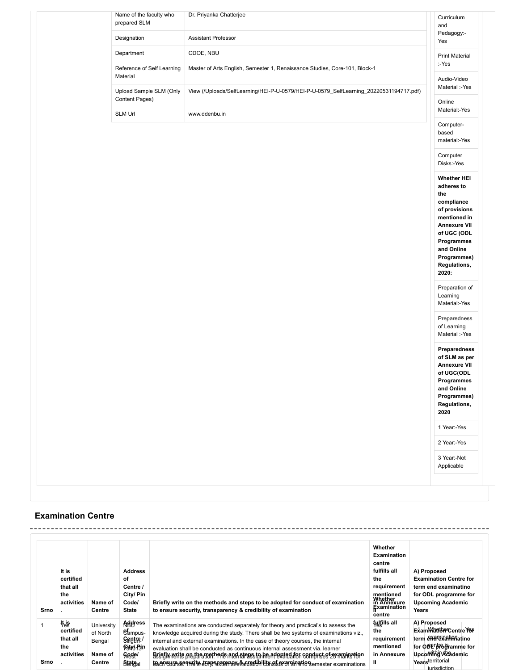|  | Name of the faculty who<br>prepared SLM   | Dr. Priyanka Chatterjee                                                                | Curriculum<br>and                                                                                                                                                                                |
|--|-------------------------------------------|----------------------------------------------------------------------------------------|--------------------------------------------------------------------------------------------------------------------------------------------------------------------------------------------------|
|  | Designation                               | Assistant Professor                                                                    | Pedagogy:-<br>Yes                                                                                                                                                                                |
|  | Department                                | CDOE, NBU                                                                              | <b>Print Material</b>                                                                                                                                                                            |
|  | Reference of Self Learning<br>Material    | Master of Arts English, Semester 1, Renaissance Studies, Core-101, Block-1             | :-Yes<br>Audio-Video                                                                                                                                                                             |
|  | Upload Sample SLM (Only<br>Content Pages) | View (/Uploads/SelfLearning/HEI-P-U-0579/HEI-P-U-0579_SelfLearning_20220531194717.pdf) | Material :-Yes<br>Online                                                                                                                                                                         |
|  | SLM Url                                   | www.ddenbu.in                                                                          | Material:-Yes                                                                                                                                                                                    |
|  |                                           |                                                                                        | Computer-<br>based<br>material:-Yes                                                                                                                                                              |
|  |                                           |                                                                                        | Computer<br>Disks:-Yes                                                                                                                                                                           |
|  |                                           |                                                                                        | <b>Whether HEI</b><br>adheres to<br>the<br>compliance<br>of provisions<br>mentioned in<br><b>Annexure VII</b><br>of UGC (ODL<br>Programmes<br>and Online<br>Programmes)<br>Regulations,<br>2020: |
|  |                                           |                                                                                        | Preparation of<br>Learning<br>Material:-Yes                                                                                                                                                      |
|  |                                           |                                                                                        | Preparedness<br>of Learning<br>Material :-Yes                                                                                                                                                    |
|  |                                           |                                                                                        | Preparedness<br>of SLM as per<br><b>Annexure VII</b><br>of UGC(ODL<br>Programmes<br>and Online<br>Programmes)<br>Regulations,<br>2020                                                            |
|  |                                           |                                                                                        | 1 Year:-Yes                                                                                                                                                                                      |
|  |                                           |                                                                                        | 2 Year:-Yes                                                                                                                                                                                      |
|  |                                           |                                                                                        | 3 Year:-Not<br>Applicable                                                                                                                                                                        |
|  |                                           |                                                                                        |                                                                                                                                                                                                  |

## **Examination Centre**

| Srno | It is<br>certified<br>that all<br>the<br>activities | Name of<br>Centre                                     | <b>Address</b><br>οf<br>Centre /<br>City/ Pin<br>Code/<br><b>State</b>                               | Briefly write on the methods and steps to be adopted for conduct of examination<br>to ensure security, transparency & credibility of examination                                                                                                                                                                                                                                                                                                                                                                                                                                          | Whether<br><b>Examination</b><br>centre<br>fulfills all<br>the<br>requirement<br>mentioned<br>Whether<br>in Annexure<br>Examination<br>centre | A) Proposed<br><b>Examination Centre for</b><br>term end examinatino<br>for ODL programme for<br><b>Upcoming Academic</b><br>Years             |
|------|-----------------------------------------------------|-------------------------------------------------------|------------------------------------------------------------------------------------------------------|-------------------------------------------------------------------------------------------------------------------------------------------------------------------------------------------------------------------------------------------------------------------------------------------------------------------------------------------------------------------------------------------------------------------------------------------------------------------------------------------------------------------------------------------------------------------------------------------|-----------------------------------------------------------------------------------------------------------------------------------------------|------------------------------------------------------------------------------------------------------------------------------------------------|
| Srno | ∛ė§<br>certified<br>that all<br>the<br>activities   | University<br>of North<br>Bengal<br>Name of<br>Centre | <b>Agdress</b><br>et <sub>ampus</sub><br>Sagtre/<br>Sight Pin<br>Gede/<br><b>State</b> <sub>al</sub> | The examinations are conducted separately for theory and practical's to assess the<br>knowledge acquired during the study. There shall be two systems of examinations viz.,<br>internal and external examinations. In the case of theory courses, the internal<br>evaluation shall be conducted as continuous internal assessment via. learner<br>Briefly write on the methods and steps to be adopted for conduct of examination<br>assignments preparation. The internal assignment evaluation comprises 25 marks for<br>te en sure-se quity transparency & credibility of examination. | <b>fulfills all</b><br>the<br>requirement<br>mentioned<br>in Annexure<br>Ш                                                                    | A) Proposed<br>Exam Want be Centre Yes<br>term examinationation<br>for ODE browne for<br>Upcoming Academic<br>Yearsterritorial<br>iurisdiction |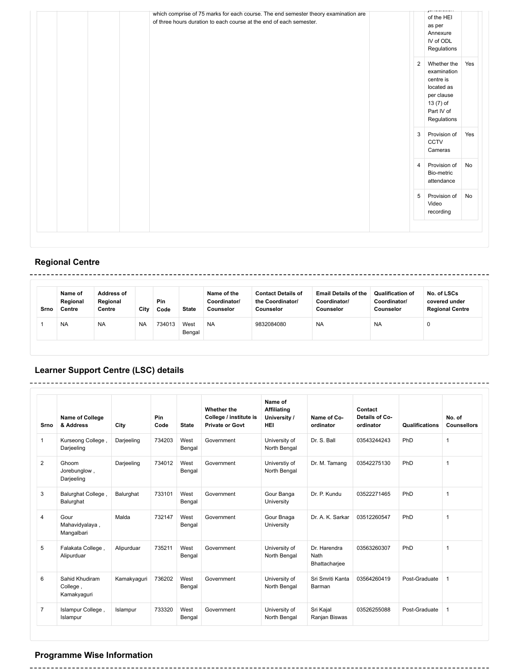| which comprise of 75 marks for each course. The end semester theory examination are<br>of three hours duration to each course at the end of each semester. |   | of the HEI<br>as per<br>Annexure<br>IV of ODL<br>Regulations                                                  |     |
|------------------------------------------------------------------------------------------------------------------------------------------------------------|---|---------------------------------------------------------------------------------------------------------------|-----|
|                                                                                                                                                            | 2 | Whether the<br>examination<br>centre is<br>located as<br>per clause<br>13 (7) of<br>Part IV of<br>Regulations | Yes |
|                                                                                                                                                            | 3 | Provision of<br>CCTV<br>Cameras                                                                               | Yes |
|                                                                                                                                                            | 4 | Provision of<br>Bio-metric<br>attendance                                                                      | No  |
|                                                                                                                                                            | 5 | Provision of<br>Video<br>recording                                                                            | No  |

# **Regional Centre**

| Srno | Name of<br>Regional<br>Centre | <b>Address of</b><br>Regional<br>Centre | City      | Pin<br>Code | <b>State</b>   | Name of the<br>Coordinator/<br>Counselor | <b>Contact Details of</b><br>the Coordinator/<br>Counselor | <b>Email Details of the</b><br>Coordinator/<br>Counselor | <b>Qualification of</b><br>Coordinator/<br>Counselor | No. of LSCs<br>covered under<br><b>Regional Centre</b> |
|------|-------------------------------|-----------------------------------------|-----------|-------------|----------------|------------------------------------------|------------------------------------------------------------|----------------------------------------------------------|------------------------------------------------------|--------------------------------------------------------|
|      | <b>NA</b>                     | <b>NA</b>                               | <b>NA</b> | 734013      | West<br>Bengal | <b>NA</b>                                | 9832084080                                                 | <b>NA</b>                                                | <b>NA</b>                                            | u                                                      |

------

# **Learner Support Centre (LSC) details**

-------------------------------

| Srno           | Name of College<br>& Address              | City        | Pin<br>Code | <b>State</b>   | Whether the<br>College / institute is<br><b>Private or Govt</b> | Name of<br>Affiliating<br>University /<br><b>HEI</b> | Name of Co-<br>ordinator              | Contact<br>Details of Co-<br>ordinator | Qualifications | No. of<br><b>Counsellors</b> |
|----------------|-------------------------------------------|-------------|-------------|----------------|-----------------------------------------------------------------|------------------------------------------------------|---------------------------------------|----------------------------------------|----------------|------------------------------|
| $\mathbf{1}$   | Kurseong College,<br>Darjeeling           | Darjeeling  | 734203      | West<br>Bengal | Government                                                      | University of<br>North Bengal                        | Dr. S. Ball                           | 03543244243                            | PhD            | $\mathbf{1}$                 |
| 2              | Ghoom<br>Jorebunglow,<br>Darjeeling       | Darjeeling  | 734012      | West<br>Bengal | Government                                                      | Universtiy of<br>North Bengal                        | Dr. M. Tamang                         | 03542275130                            | PhD            | $\mathbf{1}$                 |
| 3              | Balurghat College,<br>Balurghat           | Balurghat   | 733101      | West<br>Bengal | Government                                                      | Gour Banga<br>University                             | Dr. P. Kundu                          | 03522271465                            | PhD            | $\mathbf{1}$                 |
| 4              | Gour<br>Mahavidyalaya,<br>Mangalbari      | Malda       | 732147      | West<br>Bengal | Government                                                      | Gour Bnaga<br>University                             | Dr. A. K. Sarkar                      | 03512260547                            | PhD            | $\mathbf{1}$                 |
| 5              | Falakata College,<br>Alipurduar           | Alipurduar  | 735211      | West<br>Bengal | Government                                                      | University of<br>North Bengal                        | Dr. Harendra<br>Nath<br>Bhattacharjee | 03563260307                            | PhD            | $\mathbf{1}$                 |
| 6              | Sahid Khudiram<br>College,<br>Kamakyaguri | Kamakyaguri | 736202      | West<br>Bengal | Government                                                      | University of<br>North Bengal                        | Sri Smriti Kanta<br>Barman            | 03564260419                            | Post-Graduate  | $\mathbf{1}$                 |
| $\overline{7}$ | Islampur College,<br>Islampur             | Islampur    | 733320      | West<br>Bengal | Government                                                      | University of<br>North Bengal                        | Sri Kajal<br>Ranjan Biswas            | 03526255088                            | Post-Graduate  | $\mathbf{1}$                 |

# **Programme Wise Information**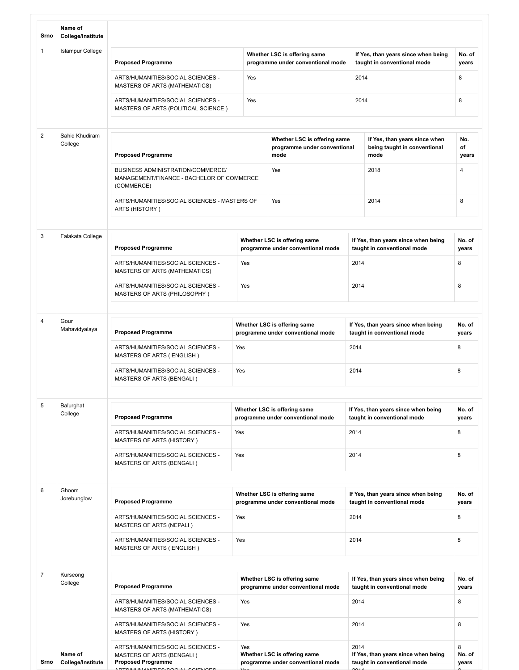| Srno           | Name of<br>College/Institute                                      |                                                                                              |             |                                                                      |      |                                                                       |                    |  |
|----------------|-------------------------------------------------------------------|----------------------------------------------------------------------------------------------|-------------|----------------------------------------------------------------------|------|-----------------------------------------------------------------------|--------------------|--|
| $\mathbf{1}$   | <b>Islampur College</b>                                           | <b>Proposed Programme</b>                                                                    |             | Whether LSC is offering same<br>programme under conventional mode    |      | If Yes, than years since when being<br>taught in conventional mode    | No. of<br>years    |  |
|                |                                                                   | ARTS/HUMANITIES/SOCIAL SCIENCES -<br>MASTERS OF ARTS (MATHEMATICS)                           | Yes         |                                                                      | 2014 |                                                                       | 8                  |  |
|                |                                                                   | ARTS/HUMANITIES/SOCIAL SCIENCES -<br>MASTERS OF ARTS (POLITICAL SCIENCE)                     | Yes         |                                                                      | 2014 |                                                                       | 8                  |  |
| $\overline{c}$ | Sahid Khudiram<br>College                                         | <b>Proposed Programme</b>                                                                    |             | Whether LSC is offering same<br>programme under conventional<br>mode |      | If Yes, than years since when<br>being taught in conventional<br>mode | No.<br>of<br>years |  |
|                |                                                                   | BUSINESS ADMINISTRATION/COMMERCE/<br>MANAGEMENT/FINANCE - BACHELOR OF COMMERCE<br>(COMMERCE) |             | Yes                                                                  |      | 2018                                                                  | $\overline{4}$     |  |
|                |                                                                   | ARTS/HUMANITIES/SOCIAL SCIENCES - MASTERS OF<br>ARTS (HISTORY)                               | Yes         |                                                                      |      | 2014                                                                  | 8                  |  |
|                |                                                                   |                                                                                              |             |                                                                      |      |                                                                       |                    |  |
| 3              | Falakata College<br><b>Proposed Programme</b>                     |                                                                                              |             | Whether LSC is offering same<br>programme under conventional mode    |      | If Yes, than years since when being<br>taught in conventional mode    | No. of<br>years    |  |
|                |                                                                   | ARTS/HUMANITIES/SOCIAL SCIENCES -<br>MASTERS OF ARTS (MATHEMATICS)                           | Yes         |                                                                      | 2014 |                                                                       | 8                  |  |
|                | ARTS/HUMANITIES/SOCIAL SCIENCES -<br>MASTERS OF ARTS (PHILOSOPHY) |                                                                                              | Yes         |                                                                      |      | 2014                                                                  |                    |  |
|                |                                                                   |                                                                                              |             |                                                                      |      |                                                                       |                    |  |
| 4              | Gour<br>Mahavidyalaya                                             | <b>Proposed Programme</b>                                                                    |             | Whether LSC is offering same<br>programme under conventional mode    |      | If Yes, than years since when being<br>taught in conventional mode    | No. of<br>years    |  |
|                |                                                                   | ARTS/HUMANITIES/SOCIAL SCIENCES -<br>MASTERS OF ARTS (ENGLISH)                               | Yes         |                                                                      | 2014 |                                                                       | 8                  |  |
|                |                                                                   | ARTS/HUMANITIES/SOCIAL SCIENCES -<br>MASTERS OF ARTS (BENGALI)                               | Yes<br>2014 |                                                                      |      |                                                                       | 8                  |  |
|                |                                                                   |                                                                                              |             |                                                                      |      |                                                                       |                    |  |
| 5              | Balurghat<br>College                                              | <b>Proposed Programme</b>                                                                    |             | Whether LSC is offering same<br>programme under conventional mode    |      | If Yes, than years since when being<br>taught in conventional mode    | No. of<br>years    |  |
|                |                                                                   | ARTS/HUMANITIES/SOCIAL SCIENCES -<br><b>MASTERS OF ARTS (HISTORY)</b>                        | Yes         |                                                                      |      | 2014                                                                  |                    |  |
|                |                                                                   | ARTS/HUMANITIES/SOCIAL SCIENCES -<br>MASTERS OF ARTS (BENGALI)                               | Yes         |                                                                      | 2014 |                                                                       | 8                  |  |
|                |                                                                   |                                                                                              |             |                                                                      |      |                                                                       |                    |  |
| 6              | Ghoom<br>Jorebunglow                                              | <b>Proposed Programme</b>                                                                    |             | Whether LSC is offering same<br>programme under conventional mode    |      | If Yes, than years since when being<br>taught in conventional mode    | No. of<br>years    |  |
|                |                                                                   | ARTS/HUMANITIES/SOCIAL SCIENCES -<br>MASTERS OF ARTS (NEPALI)                                | Yes         |                                                                      | 2014 |                                                                       | 8                  |  |
|                |                                                                   | ARTS/HUMANITIES/SOCIAL SCIENCES -<br>MASTERS OF ARTS (ENGLISH)                               | Yes         |                                                                      | 2014 |                                                                       | 8                  |  |
|                |                                                                   |                                                                                              |             |                                                                      |      |                                                                       |                    |  |
| $\overline{7}$ | Kurseong<br>College                                               | <b>Proposed Programme</b>                                                                    |             | Whether LSC is offering same<br>programme under conventional mode    |      | If Yes, than years since when being<br>taught in conventional mode    | No. of<br>years    |  |
|                |                                                                   | ARTS/HUMANITIES/SOCIAL SCIENCES -<br>MASTERS OF ARTS (MATHEMATICS)                           | Yes         |                                                                      | 2014 |                                                                       | 8                  |  |
|                |                                                                   | ARTS/HUMANITIES/SOCIAL SCIENCES -<br>MASTERS OF ARTS (HISTORY)                               | Yes         |                                                                      | 2014 |                                                                       | 8                  |  |
|                | Name of                                                           | ARTS/HUMANITIES/SOCIAL SCIENCES -<br>MASTERS OF ARTS (BENGALI)                               | Yes         | Whether LSC is offering same                                         | 2014 | If Yes, than years since when being                                   | 8<br>No. of        |  |
| Srno           | College/Institute                                                 | <b>Proposed Programme</b>                                                                    |             | programme under conventional mode                                    |      | taught in conventional mode                                           | years              |  |

ARTO/HUMANITIES/SOCIAL SCIENCES Xes 2014 80014 80014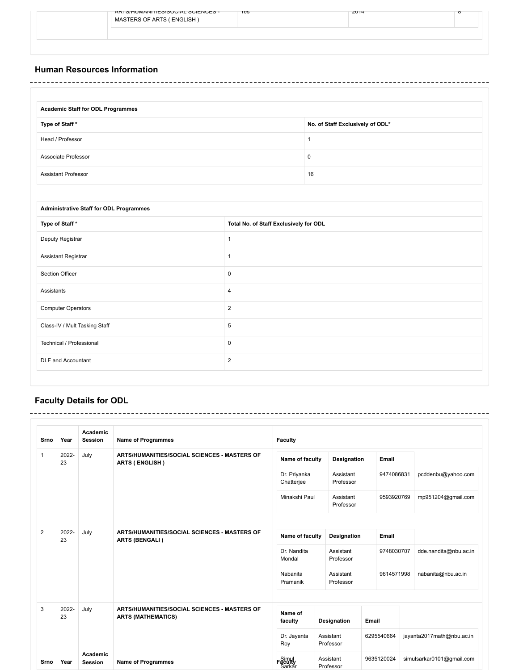|  | ARTS/HUMANITIES/SUUIAL SUIENUES -<br>MASTERS OF ARTS (ENGLISH) | <b>res</b> | 2014 | ठ |
|--|----------------------------------------------------------------|------------|------|---|
|  |                                                                |            |      |   |
|  |                                                                |            |      |   |

## **Human Resources Information**

| <b>Academic Staff for ODL Programmes</b> |                                  |
|------------------------------------------|----------------------------------|
| Type of Staff*                           | No. of Staff Exclusively of ODL* |
| Head / Professor                         |                                  |
| Associate Professor                      | 0                                |
| <b>Assistant Professor</b>               | 16                               |

| <b>Administrative Staff for ODL Programmes</b> |                                        |
|------------------------------------------------|----------------------------------------|
| Type of Staff*                                 | Total No. of Staff Exclusively for ODL |
| Deputy Registrar                               | 1                                      |
| <b>Assistant Registrar</b>                     |                                        |
| Section Officer                                | 0                                      |
| Assistants                                     | 4                                      |
| <b>Computer Operators</b>                      | $\overline{2}$                         |
| Class-IV / Mult Tasking Staff                  | 5                                      |
| Technical / Professional                       | 0                                      |
| DLF and Accountant                             | $\overline{2}$                         |
|                                                |                                        |

# **Faculty Details for ODL**

| Srno                                  | Year                                                                  | Academic<br><b>Session</b>                                                        | <b>Name of Programmes</b>                                             | <b>Faculty</b>       |                                                 |                        |            |            |                           |
|---------------------------------------|-----------------------------------------------------------------------|-----------------------------------------------------------------------------------|-----------------------------------------------------------------------|----------------------|-------------------------------------------------|------------------------|------------|------------|---------------------------|
| $\mathbf{1}$                          | 2022-<br>23                                                           | July                                                                              | ARTS/HUMANITIES/SOCIAL SCIENCES - MASTERS OF<br><b>ARTS (ENGLISH)</b> |                      | Name of faculty                                 | <b>Designation</b>     |            | Email      |                           |
|                                       |                                                                       |                                                                                   |                                                                       |                      | Dr. Priyanka<br>Chatterjee                      | Assistant<br>Professor |            | 9474086831 | pcddenbu@yahoo.com        |
|                                       |                                                                       |                                                                                   |                                                                       |                      | Minakshi Paul                                   | Assistant<br>Professor |            | 9593920769 | mp951204@gmail.com        |
| $\overline{2}$<br>2022-<br>July<br>23 | ARTS/HUMANITIES/SOCIAL SCIENCES - MASTERS OF<br><b>ARTS (BENGALI)</b> | Name of faculty                                                                   |                                                                       |                      | Designation<br>Email                            |                        |            |            |                           |
|                                       |                                                                       |                                                                                   |                                                                       |                      | Dr. Nandita<br>Assistant<br>Mondal<br>Professor |                        | 9748030707 |            | dde.nandita@nbu.ac.in     |
|                                       |                                                                       |                                                                                   |                                                                       | Nabanita<br>Pramanik |                                                 | Assistant<br>Professor |            | 9614571998 | nabanita@nbu.ac.in        |
| 3                                     | 2022-<br>23                                                           | July<br>ARTS/HUMANITIES/SOCIAL SCIENCES - MASTERS OF<br><b>ARTS (MATHEMATICS)</b> |                                                                       |                      | Name of<br>faculty                              | Designation            | Email      |            |                           |
|                                       |                                                                       |                                                                                   |                                                                       | Roy                  | Dr. Jayanta                                     | Assistant<br>Professor | 6295540664 |            | jayanta2017math@nbu.ac.in |
| Srno                                  | Year                                                                  | Academic<br><b>Session</b>                                                        | <b>Name of Programmes</b>                                             | Faculty              | Sarkar                                          | Assistant<br>Professor | 9635120024 |            | simulsarkar0101@gmail.com |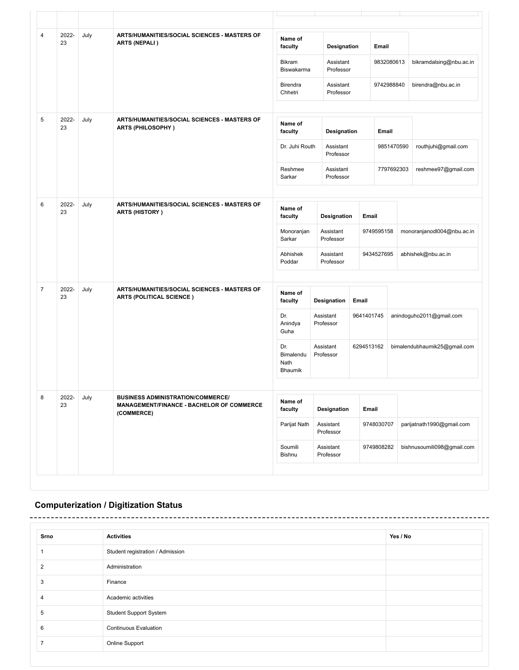| 4              | 2022-<br>23         | July | ARTS/HUMANITIES/SOCIAL SCIENCES - MASTERS OF<br><b>ARTS (NEPALI)</b>                                | Name of<br>faculty                  | Designation                              |            | Email      |                            |                              |  |
|----------------|---------------------|------|-----------------------------------------------------------------------------------------------------|-------------------------------------|------------------------------------------|------------|------------|----------------------------|------------------------------|--|
|                |                     |      |                                                                                                     | <b>Bikram</b><br>Biswakarma         | Assistant<br>Professor                   |            | 9832080613 |                            | bikramdalsing@nbu.ac.in      |  |
|                |                     |      |                                                                                                     | Birendra<br>Chhetri                 | Assistant<br>Professor                   |            | 9742988840 |                            | birendra@nbu.ac.in           |  |
| 5              | 2022-<br>23         | July | ARTS/HUMANITIES/SOCIAL SCIENCES - MASTERS OF<br><b>ARTS (PHILOSOPHY)</b>                            | Name of<br>faculty                  | Designation                              |            | Email      |                            |                              |  |
|                |                     |      |                                                                                                     |                                     | Dr. Juhi Routh<br>Assistant<br>Professor |            | 9851470590 |                            | routhjuhi@gmail.com          |  |
|                |                     |      |                                                                                                     | Reshmee<br>Sarkar                   | Assistant<br>Professor                   |            | 7797692303 |                            | reshmee97@gmail.com          |  |
| 6              | 2022-<br>July<br>23 |      | ARTS/HUMANITIES/SOCIAL SCIENCES - MASTERS OF<br><b>ARTS (HISTORY)</b>                               |                                     | Name of<br>faculty<br>Designation        |            | Email      |                            |                              |  |
|                |                     |      | Assistant<br>Monoranjan<br>Sarkar<br>Professor                                                      |                                     |                                          | 9749595158 |            | monoranjanodl004@nbu.ac.in |                              |  |
|                |                     |      |                                                                                                     | Abhishek<br>Poddar                  | Assistant<br>Professor                   |            | 9434527695 |                            | abhishek@nbu.ac.in           |  |
| $\overline{7}$ | 2022-<br>23         | July | ARTS/HUMANITIES/SOCIAL SCIENCES - MASTERS OF<br><b>ARTS (POLITICAL SCIENCE)</b>                     | Name of<br>faculty                  | Designation                              | Email      |            |                            |                              |  |
|                |                     |      |                                                                                                     | Dr.<br>Anindya<br>Guha              | Assistant<br>Professor                   | 9641401745 |            | anindoguho2011@gmail.com   |                              |  |
|                |                     |      |                                                                                                     | Dr.<br>Bimalendu<br>Nath<br>Bhaumik | Assistant<br>Professor                   |            | 6294513162 |                            | bimalendubhaumik25@gmail.com |  |
| 8              | 2022-<br>23         | July | <b>BUSINESS ADMINISTRATION/COMMERCE/</b><br>MANAGEMENT/FINANCE - BACHELOR OF COMMERCE<br>(COMMERCE) | Name of<br>faculty                  | Designation                              |            | Email      |                            |                              |  |
|                |                     |      |                                                                                                     | Parijat Nath                        | Assistant<br>Professor                   |            | 9748030707 |                            | parijatnath1990@gmail.com    |  |
|                |                     |      |                                                                                                     | Soumili<br>Bishnu                   | Assistant<br>Professor                   |            | 9749808282 |                            | bishnusoumili098@gmail.com   |  |

# **Computerization / Digitization Status**

| Srno           | <b>Activities</b>                | Yes / No |
|----------------|----------------------------------|----------|
|                | Student registration / Admission |          |
| $\overline{2}$ | Administration                   |          |
| 3              | Finance                          |          |
| 4              | Academic activities              |          |
| 5              | <b>Student Support System</b>    |          |
| 6              | <b>Continuous Evaluation</b>     |          |
|                | Online Support                   |          |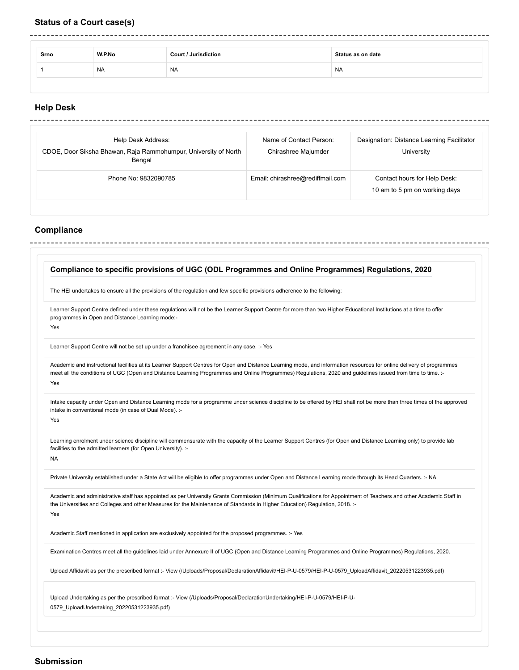## **Status of a Court case(s)**

------------------

| Srno | W.P.No    | <b>Court / Jurisdiction</b> | Status as on date |  |  |  |  |
|------|-----------|-----------------------------|-------------------|--|--|--|--|
|      | <b>NA</b> | <b>NA</b>                   | <b>NA</b>         |  |  |  |  |

### **Help Desk** . . . . . . . . . .

 $\sim$ 

| Help Desk Address:<br>CDOE, Door Siksha Bhawan, Raja Rammohumpur, University of North<br>Bengal | Name of Contact Person:<br>Chirashree Majumder | Designation: Distance Learning Facilitator<br>University      |
|-------------------------------------------------------------------------------------------------|------------------------------------------------|---------------------------------------------------------------|
| Phone No: 9832090785                                                                            | Email: chirashree@rediffmail.com               | Contact hours for Help Desk:<br>10 am to 5 pm on working days |

# **Compliance**

|           | Compliance to specific provisions of UGC (ODL Programmes and Online Programmes) Regulations, 2020                                                                                                                                                                                                                                          |  |  |  |  |
|-----------|--------------------------------------------------------------------------------------------------------------------------------------------------------------------------------------------------------------------------------------------------------------------------------------------------------------------------------------------|--|--|--|--|
|           | The HEI undertakes to ensure all the provisions of the regulation and few specific provisions adherence to the following:                                                                                                                                                                                                                  |  |  |  |  |
|           | Learner Support Centre defined under these regulations will not be the Learner Support Centre for more than two Higher Educational Institutions at a time to offer<br>programmes in Open and Distance Learning mode:-<br>Yes                                                                                                               |  |  |  |  |
|           | Learner Support Centre will not be set up under a franchisee agreement in any case. :- Yes                                                                                                                                                                                                                                                 |  |  |  |  |
|           | Academic and instructional facilities at its Learner Support Centres for Open and Distance Learning mode, and information resources for online delivery of programmes<br>meet all the conditions of UGC (Open and Distance Learning Programmes and Online Programmes) Regulations, 2020 and guidelines issued from time to time. :-<br>Yes |  |  |  |  |
|           | Intake capacity under Open and Distance Learning mode for a programme under science discipline to be offered by HEI shall not be more than three times of the approved<br>intake in conventional mode (in case of Dual Mode). :-<br>Yes                                                                                                    |  |  |  |  |
| <b>NA</b> | Learning enrolment under science discipline will commensurate with the capacity of the Learner Support Centres (for Open and Distance Learning only) to provide lab<br>facilities to the admitted learners (for Open University). :-                                                                                                       |  |  |  |  |
|           | Private University established under a State Act will be eligible to offer programmes under Open and Distance Learning mode through its Head Quarters. :- NA                                                                                                                                                                               |  |  |  |  |
|           | Academic and administrative staff has appointed as per University Grants Commission (Minimum Qualifications for Appointment of Teachers and other Academic Staff in<br>the Universities and Colleges and other Measures for the Maintenance of Standards in Higher Education) Regulation, 2018. :-<br>Yes                                  |  |  |  |  |
|           | Academic Staff mentioned in application are exclusively appointed for the proposed programmes. :- Yes                                                                                                                                                                                                                                      |  |  |  |  |
|           | Examination Centres meet all the guidelines laid under Annexure II of UGC (Open and Distance Learning Programmes and Online Programmes) Regulations, 2020.                                                                                                                                                                                 |  |  |  |  |
|           | Upload Affidavit as per the prescribed format :- View (/Uploads/Proposal/DeclarationAffidavit/HEI-P-U-0579/HEI-P-U-0579_UploadAffidavit_20220531223935.pdf)                                                                                                                                                                                |  |  |  |  |
|           | Upload Undertaking as per the prescribed format :- View (/Uploads/Proposal/DeclarationUndertaking/HEI-P-U-0579/HEI-P-U-<br>0579_UploadUndertaking_20220531223935.pdf)                                                                                                                                                                      |  |  |  |  |